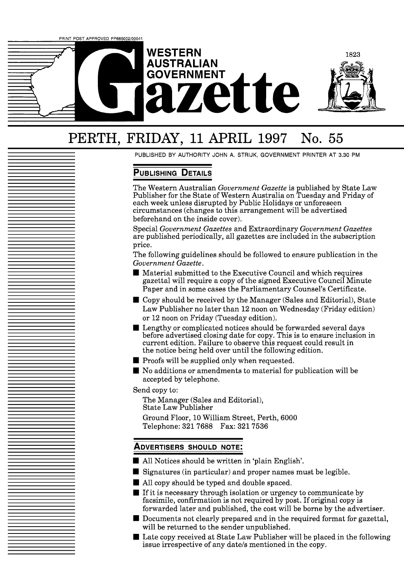

# PERTH, FRIDAY, 11 APRIL 1997 No. *<sup>55</sup>*

PUBLISHED BY AUTHORITY JOHN A. STRIJK, GOVERNMENT PRINTER AT 3.30 PM

# **PUBLISHING DETAILS**

The Western Australian *Government Gazette* is published by State Law Publisher for the State of Western Australia on Tuesday and Friday of each week unless disrupted by Public Holidays or unforeseen circumstances (changes to this arrangement will be advertised beforehand on the inside cover).

Special *Government Gazettes* and Extraordinary *Government Gazettes*  are published periodically, all gazettes are included in the subscription price.

The following guidelines should be followed to ensure publication in the *Government Gazette.* 

- Material submitted to the Executive Council and which requires gazettal will require a copy of the signed Executive Council Minute Paper and in some cases the Parliamentary Counsel's Certificate.
- Copy should be received by the Manager (Sales and Editorial), State Law Publisher no later than 12 noon on Wednesday (Friday edition) or 12 noon on Friday (Tuesday edition).
- Lengthy or complicated notices should be forwarded several days before advertised closing date for copy. This is to ensure inclusion in current edition. Failure to observe this request could result in the notice being held over until the following edition.
- **Proofs will be supplied only when requested.**
- No additions or amendments to material for publication will be accepted by telephone.

Send copy to:

The Manager (Sales and Editorial), State Law Publisher

Ground Floor, 10 William Street, Perth, 6000 Telephone: 321 7688 Fax: 321 7536

## **ADVERTISERS SHOULD NOTE:**

- All Notices should be written in 'plain English'.
- Signatures (in particular) and proper names must be legible.
- All copy should be typed and double spaced.
- $\blacksquare$  If it is necessary through isolation or urgency to communicate by facsimile, confirmation is not required by post. If original copy is forwarded later and published, the cost will be borne by the advertiser.
- Documents not clearly prepared and in the required format for gazettal, will be returned to the sender unpublished.
- Late copy received at State Law Publisher will be placed in the following issue irrespective of any date/s mentioned in the copy.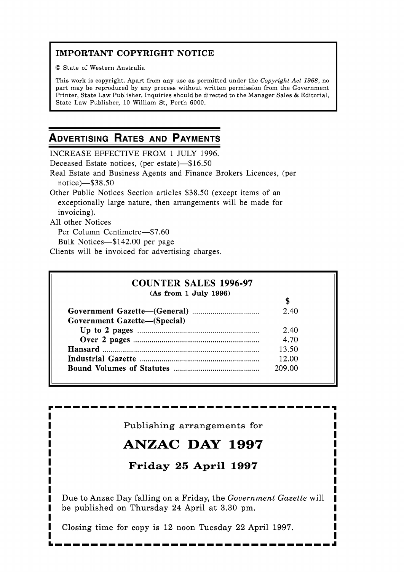# **IMPORTANT COPYRIGHT NOTICE**

O State of Western Australia

This work is copyright. Apart from any use as permitted under the Copyright *Act* 1968, no part may be reproduced by any process without written permission from the Government Printer, State Law Publisher. Inquiries should be directed to the Manager Sales & Editorial, State Law Publisher, 10 William St, Perth 6000.

# **ADVERTISING RATES AND PAYMENTS**

INCREASE EFFECTIVE FROM 1 JULY 1996. Deceased Estate notices, (per estate)-\$16.50 Real Estate and Business Agents and Finance Brokers Licences, (per notice)-\$38.50 Other Public Notices Section articles \$38.50 (except items of an exceptionally large nature, then arrangements will be made for invoicing).

All other Notices

Per Column Centimetre-\$7.60

Bulk Notices-\$142.00 per page

Clients will be invoiced for advertising charges.

| <b>COUNTER SALES 1996-97</b> |        |
|------------------------------|--------|
| (As from 1 July 1996)        |        |
|                              |        |
|                              | 2.40   |
| Government Gazette-(Special) |        |
|                              | 2.40   |
|                              | 4.70   |
|                              | 13.50  |
|                              | 12.00  |
|                              | 209.00 |

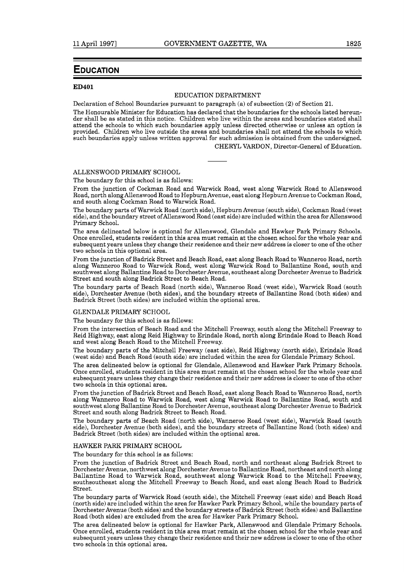## **EDUCATION**

#### **ED401**

## EDUCATION DEPARTMENT

Declaration of School Boundaries pursuant to paragraph (a) of subsection (2) of Section 21.

The Honourable Minister for Education has declared that the boundaries for the schools listed hereunder shall be as stated in this notice. Children who live within the areas and boundaries stated shall attend the schools to which such boundaries apply unless directed otherwise or unless an option is provided. Children who live outside the areas and boundaries shall not attend the schools to which such boundaries apply unless written approval for such admission is obtained from the undersigned.

CHERYL VARDON, Director-General of Education.

## ALLENSWOOD PRIMARY SCHOOL

The boundary for this school is as follows:

From the junction of Cockman Road and Warwick Road, west along Warwick Road to Allenswood Road, north along Allenswood Road to Hepburn Avenue, east along Hepburn Avenue to Cockman Road, and south along Cockman Road to Warwick Road.

The boundary parts of Warwick Road (north side), Hepburn Avenue (south side), Cockman Road (west side), and the boundary street ofAllenswood Road (east side) are included within the area for Allenswood Primary School.

The area delineated below is optional for Allenswood, Glendale and Hawker Park Primary Schools. Once enrolled, students resident in this area must remain at the chosen school for the whole year and subsequent years unless they change their residence and their new address is closer to one of the other two schools in this optional area.

From the junction of Badrick Street and Beach Road, east along Beach Road to Wanneroo Road, north along Wanneroo Road to Warwick Road, west along Warwick Road to Ballantine Road, south and southwest along Ballantine Road to Dorchester Avenue, southeast along Dorchester Avenue to Badrick Street and south along Badrick Street to Beach Road.

The boundary parts of Beach Road (north side), Wanneroo Road (west side), Warwick Road (south side), Dorchester Avenue (both sides), and the boundary streets of Ballantine Road (both sides) and Badrick Street (both sides) are included within the optional area.

#### GLENDALE PRIMARY SCHOOL

The boundary for this school is as follows:

From the intersection of Beach Road and the Mitchell Freeway, south along the Mitchell Freeway to Reid Highway, east along Reid Highway to Erindale Road, north along Erindale Road to Beach Road and west along Beach Road to the Mitchell Freeway.

The boundary parts of the Mitchell Freeway (east side), Reid Highway (north side), Erindale Road (west side) and Beach Road (south side) are included within the area for Glendale Primary School.

The area delineated below is optional for Glendale, Allenswood and Hawker Park Primary Schools. Once enrolled, students resident in this area must remain at the chosen school for the whole year and subsequent years unless they change their residence and their new address is closer to one of the other two schools in this optional area.

From the junction of Badrick Street and Beach Road, east along Beach Road to Wanneroo Road, north along Wanneroo Road to Warwick Road, west along Warwick Road to Ballantine Road, south and southwest along Ballantine Road to Dorchester Avenue, southeast along Dorchester Avenue to Badrick Street and south along Badrick Street to Beach Road.

The boundary parts of Beach Road (north side), Wanneroo Road (west side), Warwick Road (south side), Dorchester Avenue (both sides), and the boundary streets of Ballantine Road (both sides) and Badrick Street (both sides) are included within the optional area.

#### HAWKER PARK PRIMARY SCHOOL

The boundary for this school is as follows:

From the junction of Badrick Street and Beach Road, north and northeast along Badrick Street to Dorchester Avenue, northwest along Dorchester Avenue to Ballantine Road, northeast and north along Ballantine Road to Warwick Road, southwest along Warwick Road to the Mitchell Freeway, southsoutheast along the Mitchell Freeway to Beach Road, and east along Beach Road to Badrick Street.

The boundary parts of Warwick Road (south side), the Mitchell Freeway (east side) and Beach Road (north side) are included within the area for Hawker Park Primary School, while the boundary parts of Dorchester Avenue (both sides) and the boundary streets of Badrick Street (both sides) and Ballantine Road (both sides) are excluded from the area for Hawker Park Primary School.

The area delineated below is optional for Hawker Park, Allenswood and Glendale Primary Schools. Once enrolled, students resident in this area must remain at the chosen school for the whole year and subsequent years unless they change their residence and their new address is closer to one of the other two schools in this optional area.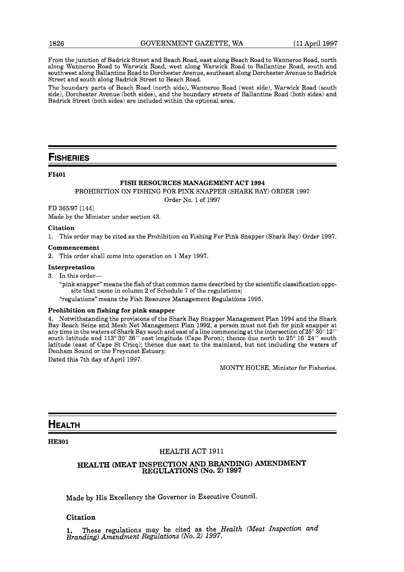From the junction of Badrick Street and Beach Road, east along Beach Road to Wanneroo Road, north along Wanneroo Road to Warwick Road, west along Warwick Road to Ballantine Road, south and southwest along Ballantine Road to Dorchester Avenue, southeast along Dorchester Avenue to Badrick Street and south along Badrick Street to Beach Road.

The boundary parts of Beach Road (north side), Wanneroo Road (west side), Warwick Road (south side), Dorchester Avenue (both sides), and the boundary streets of Ballantine Road (both sides) and Badrick Street (both sides) are included within the optional area.

## **FISHERIES**

## **FI401**

#### **FISH RESOURCES MANAGEMENT ACT 1994**

PROHIBITION ON FISHING FOR PINK SNAPPER (SHARK BAY) ORDER **1997** 

Order No. **1** of **1997** 

FD **365197 [I441** 

Made by the Minister under section **43.** 

#### **Citation**

**1.** This order may be cited as the Prohibition on Fishing For Pink Snapper (Shark Bay) Order **1997.** 

#### **Commencement**

**2.** This order shall come into operation on **1** May **1997** 

#### **Interpretation**

**3.** In this order-

"pink snapper" means the fish of that common name described by the scientific classification opposite that name in column **2** of Schedule **7** of the regulations;

"regulations" means the Fish Resource Management Regulations **1995.** 

#### **Prohibition on fishing for pink snapper**

**4.** Notwithstanding the provisions of the Shark Bay Snapper Management Plan **1994** and the Shark Bay Beach Seine and Mesh Net Management Plan **1992,** a person must not fish for pink snapper at any time in the waters of Shark Bay south and east of a line commencing at the intersection of **25" 30' 12"**  south latitude and **113" 30' 36"** east longitude (Cape Peron); thence due north to **25" 16' 24"** south latitude (east of Cape St Cricq); thence due east to the mainland, but not including the waters of Denham Sound or the Freycinet Estuary.

Dated this 7th day of April **1997.** 

MONTY HOUSE, Minister for Fisheries.

## **HEALTH**

**HE301** 

## **HEALTH ACT** 1911

## **HEALTH (MEAT INSPECTION AND BRANDING) AMENDMENT REGULATIONS (No. 2) 1997**

**Made by His Excellency the Governor in Executive Council.** 

## **Citation**

**1. These regulations may be cited as the** *Health (Meat Inspection and Branding) Amendment Regulations (No.* 2) *1997.*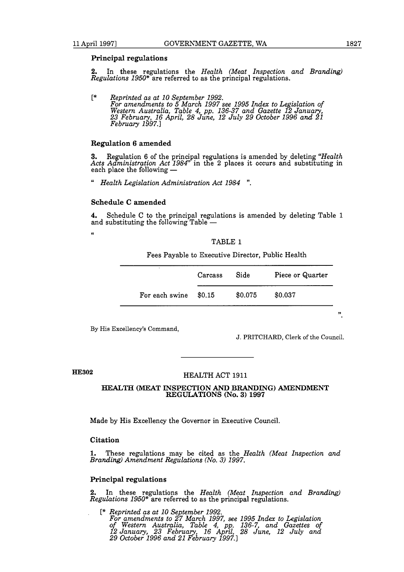#### **Principal regulations**

2. In these regulations the *Health (Meat Inspection and Branding) Regulations 1950"* are referred to as the principal regulations.

[\* *Reprinted as at 10 September 1992. For amendments to 5 March 1997 see 1995 Index to Legislation of Western Australia, Table 4, pp. 136-37 and Gazette 12 Janua*  western Australia, Table 4, pp. 136-37 and Gazette 12 January,<br>23 February, 16 April, 28 June, 12 July 29 October 1996 and 21<br>February 1997.]

## **Regulation 6 amended**

**3.** Regulation 6 of the principal regulations is amended by deleting *"Health Acts Administration Act 1984*" in the 2 places it occurs and substituting in each place the following —

" *Health Legislation Administration Act 1984* ".

## **Schedule C amended**

**4.** Schedule C to the principal regulations is amended by deleting Table 1 and substituting the following Table -

**c** 

TABLE 1

Fees Payable to Executive Director, Public Health

|                | Carcass | Side    | Piece or Quarter |
|----------------|---------|---------|------------------|
| For each swine | \$0.15  | \$0.075 | \$0.037          |

By His Excellency's Command,

J. PRITCHARD, Clerk of the Council.

 $\boldsymbol{v}_1$ 

## **HE302**

## HEALTH ACT 1911

#### **HEALTH (MEAT INSPECTION AND BRANDING) AMENDMENT REGULATIONS (No. 3) 1997**

Made by His Excellency the Governor in Executive Council.

## **Citation**

**1.** These regulations may be cited as the *Health (Meat Inspection and Branding) Amendment Regulations (No. 3) 1997.* 

## **Principal regulations**

2. In these regulations the *Health (Meat Inspection and Branding) Regulations 1950"* are referred to as the principal regulations.

[+ *Reprinted as at 10 September 1992. For amendments to 27 March 1997, see 1995 In& to Legislation of Western Australia, Table 4, pp. 136-7, and Gazettes of 12 January, 23 February, 16 April, 28 June, 12 July and 29 October 1996 and 21 February 1997.3*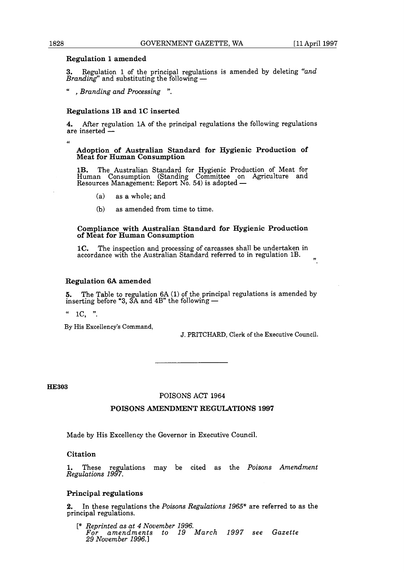## **Regulation 1 amended**

**3.** Regulation 1 of the principal regulations is amended by deleting *"and*  **Branding 1 and 2018**<br>**Branding** and substituting the following —

" , *Branding and Processing* ".

## **Regulations 1B and 1C inserted**

**4.** After regulation lA of the principal regulations the following regulations **4.** After regulators 12

**Adoption of Australian Standard for Hygienic Production of Meat for Human Consumption** 

**1B.** The Australian Standard for Hygienic Production of Meat for Human Consumption (Standing Committee on Agriculture and 1B. The Australian Standard for Hygienic Product<br>Human Consumption (Standing Committee on *P*<br>Resources Management: Report No. 54) is adopted —

- (a) as a whole; and
- (b) as amended from time to time.

## **Compliance with Australian Standard for Hygienic Production of Meat for Human Consumption**

**1C.** The inspection and processing of carcasses shall be undertaken in accordance with the Australian Standard referred to in regulation  $1B.$ ,

## **Regulation 6A amended**

**5.** The Table to regulation  $6A (1)$  of the principal regulations is amended by inserting before "3, 3A and  $4B$ " the following —

1C, ".

By His Excellency's Command,

J. PRITCHARD, Clerk of the Executive Council.

**HE303** 

## POISONS ACT 1964

## **POISONS AMENDMENT REGULATIONS 1997**

Made by His Excellency the Governor in Executive Council.

## **Citation**

1. These regulations may be cited as the *Poisons Amendment Regulations 1997.* 

## **Principal regulations**

**2.** In these regulations the *Poisons Regulations 1965"* are referred to as the principal regulations.

[\* *Reprinted as at 4 November 1996. For amendments to 19 March 1997 see Gazette 29 November 1996.1* 

 $\overline{a}$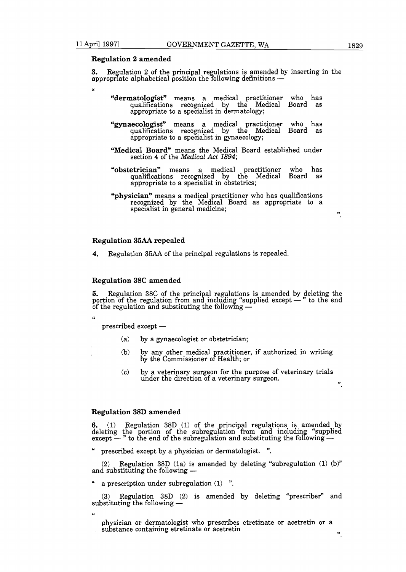$\epsilon$ 

## **Regulation 2 amended**

**3.** Replation 2 of the principal regulations is amended by inserting in the accomments alphabetical positions is added by interpretent alphabetical position the following definitions -

- **"dermatoIogist"** means a medical practitioner who has qualifications recognized by the Medical Board as<br>appropriate-to-a-specialist-in-dermatology;
- **"gynaecologist"** means a medical practitioner who has qualifications recognized by the Medical Board as appropriate to a specialist in gynaecology;
- **"Medical Board"** means the Medical Board established under section 4 of the **Medical** *Act* 1894;
- **"obstetrician"** means a medical practitioner who has qualifications recognized by the Medical Board as appropriate to a specialist in obstetrics;
- **"physician"** means a medical practitioner who has qualifications recognized by the Medical Board as appropriate to a specialist in general medicine;

#### **Regulation 35AA repealed**

**4.** Regulation 35AA of the principal regulations is repealed.

## **Regulation 38C amended**

5. Regulation 38C of the principal regulations is amended by deleting the **portion of the regulation of the principal regulations is amended by deleting the**<br>portion of the regulation from and including "supplied except  $-$ " to the end<br>of the regulation and substituting the following  $-$ **5.** Regulation 38C of the principal regulations is portion of the regulation from and including "suppli<br>of the regulation and substituting the following — % of the regulation and substituting the following  $-$ <br>"<br>prescribed except —

 $\epsilon$ 

- (a) by a gynaecologist or obstetrician;
- (b) by any other medical practitioner, if authorized in writing by the Commissioner of Health; or
- (c) by a veterinary surgeon for the purpose of veterinary trials under the direction of a veterinary surgeon.  $\overline{7}$   $\overline{7}$   $\overline{7}$

## **Regulation 38D amended**

**6.** (1) Regulation 38D (1) of the principal regulations is amended by deleting the portion of the subregulation from and including "supplied except — " to the end of the subregulation and substituting the following —

prescribed except by a physician or dermatologist. ".

**(2)** Regulation 38D (la) is amended by deleting "subregulation (1) (b)" and substituting the following -

a prescription under subregulation  $(1)$  ".

(3) Regulation 38D (2) is amended by deleting "prescriber" and substituting the following -

**66** 

physician or dermatologist who prescribes etretinate or acetretin or a  $\frac{1}{\sqrt{2}}$  substance containing etretinate or acetretin  $\frac{1}{\sqrt{2}}$ .

".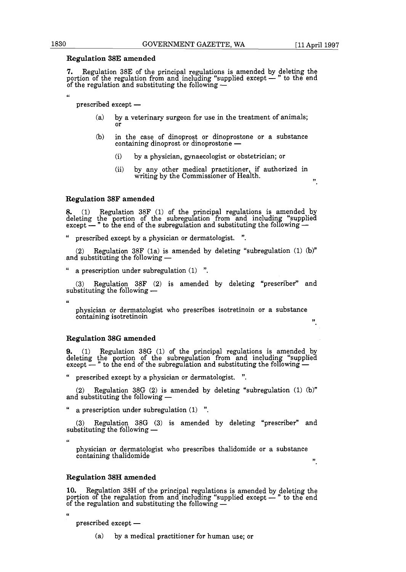## Regulation **38E** amended

**7.** Regulation 38E of the principal regulations is amended by deleting the **Programmed on the regulation of the principal regulations is amended by deleting the**<br>portion of the regulation from and including "supplied except  $-$ " to the end<br>of the regulation and substituting the following  $-$ **7.** Regulation 38E of the principal regulations is portion of the regulation from and including "suppli<br>of the regulation and substituting the following —

prescribed except —

- (a) by a veterinary surgeon for use in the treatment of animals; or
- (b) in the case of dinoprost or dinoprostone or a substance containing dinoprost or dinoprostone -
	- (i) by a physician, gynaecologist or obstetrician; or
	- (ii) by. any other medical practitioner, if authorized in writing by the Commissioner of Health.  $\,$

## Regulation **38F** amended

**8.** (1) Regulation 38F (1) of the principal regulations is amended by deleting the portion of the subregulation from and including "supplied except — " to the end of the subregulation and substituting the following —

prescribed except by a physician or dermatologist. ".

(2) Regulation 38F (1a) is amended by deleting "subregulation (1) (b)" (2) Regulation 38F (1a) is am<br>and substituting the following —

a prescription under subregulation (1) ".

(3) Regulation 38F (2) is amended by deleting "prescriber" and substituting the following -

physician or dermatologist who prescribes isotretinoin or a substance containing isotretinoin lying the containing isotretinoin lying the containing  $\frac{y}{y}$ .

## Regulation **38G** amended

**9.** (1) Regulation 38G (1) of the principal regulations is amended by deleting the portion of the subregulation from and including "supplied except  $-$ " to the end of the subregulation and substituting the following  $-$ 

prescribed except by a physician or dermatologist. ".

(2) Regulation 38G (2) is amended by deleting "subregulation (1) (b)"  $(2)$  Regulation 38G (2) is am<br>and substituting the following —

a prescription under subregulation  $(1)$  ".

 $(3)$  Regulation 38G  $(3)$  is amended by deleting "prescriber" and substituting the following -

 $\epsilon$ 

**u** 

physician or dermatologist who prescribes thalidomide or a substance containing thalidomide

## Regulation **38H** amended

10. Regulation 38H of the principal regulations is amended by deleting the portion of the principal regulations is amended by deleting the<br>portion of the regulation from and including "supplied except - " to the end<br>of the regulation and substituting the following 10. Regulation 38H of the principal regulations is portion of the regulation from and including "supplies of the regulation and substituting the following — % of the regulation and substituting the following  $-$ <br>"prescribed except —

(a) by a medical practitioner for human use; or

**66**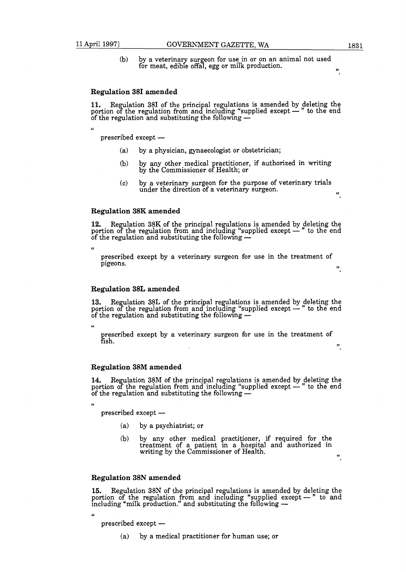(b) by a veterinary surgeon for use in or on an animal not used for meat, edible offal, egg or milk production.

## Regulation **381** amended

**11.** Regulation 38I of the principal regulations is amended by deleting the **Programmer of the regulations** is amended by deleting the portion of the regulation from and including "supplied except  $-$ " to the end of the regulation and substituting the following  $-$ 11. Regulation 38I of the principal regulations is amended by portion of the regulation from and including "supplied except  $-$ " of the regulation and substituting the following  $-$ 

c<

 $prescribed$  except  $-$ 

- (a) by a physician, gynaecologist or obstetrician;
- (b) by any other medical practitioner, if authorized in writing by the Commissioner of Health; or
- (c) by a veterinary surgeon for the purpose of veterinary trials under the direction of a veterinary surgeon.

## Regulation **38K** amended

**12.** Regulation 38K of the principal regulations is amended by deleting the **12.** Regulation 38K of the principal regulations is amended by deleting the portion of the regulation from and including "supplied except  $-$ " to the end of the regulation and substituting the following  $-$ **12.** Regulation 38K of the principal regulations is portion of the regulation from and including "suppli<br>of the regulation and substituting the following —

 $\epsilon$ 

prescribed except by a veterinary surgeon for use in the treatment of pigeons. **,,** 

## Regulation **38L** amended

13. Regulation 38L of the principal regulations is amended by deleting the portion of the regulation of the principal regulations is amended by deleting the portion of the regulation from and including "supplied except - " to the end of the regulation and substituting the following -13. Regulation 38L of the principal regulations is portion of the regulation from and including "suppli<br>of the regulation and substituting the following —

cc

66

prescribed except by a veterinary surgeon for use in the treatment of fish. Esh. **,,** 

## Regulation **38M** amended

14. Regulation 38M of the principal regulations is amended by deleting the **Regulation 38M amended**<br>14. Regulation 38M of the principal regulations is amended by deleting the<br>portion of the regulation from and including "supplied except - " to the end<br>of the regulation and substituting the follow 14. Regulation 38M of the principal regulations is portion of the regulation from and including "suppli<br>of the regulation and substituting the following — % of the regulation and substituting the following  $-$ <br>"prescribed except  $-$ 

- - (a) by a psychiatrist; or
	- (b) by any other medical practitioner, if required for the treatment of a patient in a hospital and authorized in writing by the Commissioner of Health. **9,**

#### Regulation **38N** amended

Regulation 38N of the principal regulations is amended by deleting the It is the principal regulations is amended by deleting the<br>
portion of the regulation from and including "supplied except — " to and<br>
including "milk production." and substituting the following —

 $prescribed$  except  $-$ 

(a) by a medical practitioner for human use; or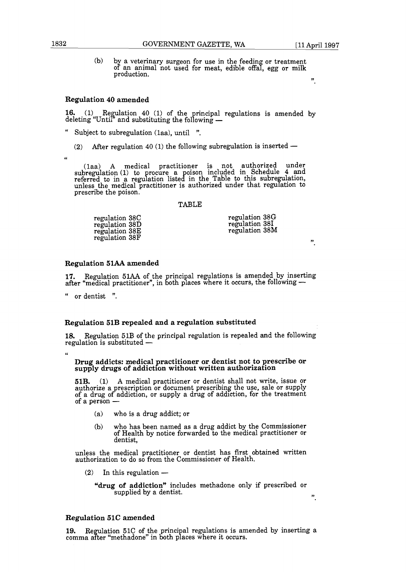$(b)$  by a veterinary surgeon for use in the feeding or treatment by a veterinary surgeon for use in the feeding or treatment<br>of an animal not used for meat, edible offal, egg or milk<br>production. production. of an animal not used for meat, edible offal, egg or milk

#### **9,**

**9,** 

## **Regulation 40 amended**

**16.** (1) Regulation 40 (1) of the principal regulations is amended by deleting "Until" and substituting the following —

- Subject to subregulation (1aa), until ".
	- (2) After regulation 40 (1) the following subregulation is inserted -

cc

(laa) **A** medical practitioner is not authorized under subregulation (1) to rocure a oison included in Schedule 4 and subreguiation (1) to procure a poison included in Schedule  $\frac{1}{4}$  and referred to in a regulation listed in the Table to this subregulation, unless the medical practitioner is authorized under that regulation to prescribe the poison.

#### TABLE

| regulation 38C | regulation 38G |
|----------------|----------------|
| regulation 38D | regulation 38I |
| regulation 38E | regulation 38M |
| regulation 38F |                |

## **Regulation** 51AA **amended**

17. Regulation 51AA of the principal regulations is amended by inserting after the call the principal regulations is amended by inserting<br>17. Regulation 51AA of the principal regulations is amended by inserting<br>after "medical practitioner", in both places where it occurs, the following —

or dentist ".

## **Regulation** 51B **repealed and a regulation substituted**

18. Regulation 51B of the principal regulation is repealed and the following regulation is substituted -

 $\epsilon$ 

### **Drug addicts: medical practitioner or dentist not to prescribe or supply drugs of addiction without written authorization**

**51B.** (1) **A** medical practitioner or dentist shall not write, issue or authorize a prescription or document prescribing the use, sale or supply of a drug of addiction, or supply a drug of addiction, for the treatment of a person  $-$ 

- (a) who is a drug addict; or
- (b) who has been named as a drug addict by the Commjssioner of Health by notice forwarded to the medical practitioner or dentist,

unless the medical practitioner or dentist has first obtained written authorization to do so from the Commissioner of Health.<br>
(2) In this regulation —

"drug of addiction" includes methadone only if prescribed or supplied by a dentist. **,,** 

## **Regulation 51C amended**

**19.** Regulation 51C of the principal regulations is amended by inserting a comma after "methadone" in both places where it occurs.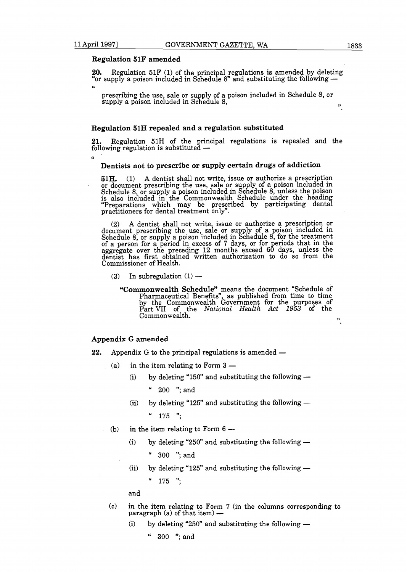**66** 

## **Regulation 51F amended**

**20.** Regulation 51F (1) of the principal regulations is amended by deleting "or supply a poison included in Schedule 8" and substituting the following --

prescribing the use, sale or supply of a poison included in Schedule 8, or supply a poison included in Schedule 8,  $\ldots$ ,  $\ldots$ 

#### **Regulation 51H repealed and a regulation substituted**

**21.** Regulation 51H of the rincipal regulations is repealed and the following regulation is substitute 3 -

## **Dentists not to prescribe or supply certain drugs of addiction**

**51H.** (1) A dentist shall not write, issue or authorize a prescription or document prescribing the use, sale or supply of a poison included in Schedule 8, or supply a poison included in Schedule 8, unless the poison is also included in the Commonwealth Schedule under the heading Preparations which may be prescribed by participating dental practitioners for dental treatment only".

(2) A dentist shall not write, issue or authorize a prescription or document prescribing the use, sale or supply of a poison included in Schedule 8, or supply a poison included in Schedule 8, for the treatment of a person for a period in excess of 7 days, or for periods that in the series aggregate over the preceding 12 months exceed 60 days, unless the dentist has first obtained written authorization to do so from the Commissioner of Health.<br>
(3) In subregulation (1) — Commissioner of Health.

- - **"Commonwealth Schedule"** means the document "Schedule of Pharmaceutical Benefits", as published from time to time by the Commonwealth Government for the purposes of Part VII of the *National Health Act 1953* of the Commonwealth. **,,**

## **Appendix** *G* **amended**

- **Appendix G amended**<br>22. Appendix G to the principal regulations is amended Appendix  $G$  to the principal regulations is<br>(a) in the item relating to Form  $3 -$ 
	-
- % in the item relating to Form  $3-$ <br>(i) by deleting "150" and substituting the following  $-$ 
	- 200 "; and
		- (ii) by deleting "125" and substituting the following  $-$ 
			- " 175 ";
	- (b) in the item relating to Form  $6 -$ 
		- (i) by deleting "250" and substituting the following  $-$ 
			- 300 "; and
		- (ii) by deleting "125" and substituting the following  $-$ 
			- $175$  ":

and

- (c) in the item relating to Form 7 (in the columns corresponding to in the item relating to Form 7<br>paragraph (a) of that item) paragraph (a) of that item  $-$ <br>(i) by deleting "250" and substituting the following  $-$ 
	-

" 300 "; and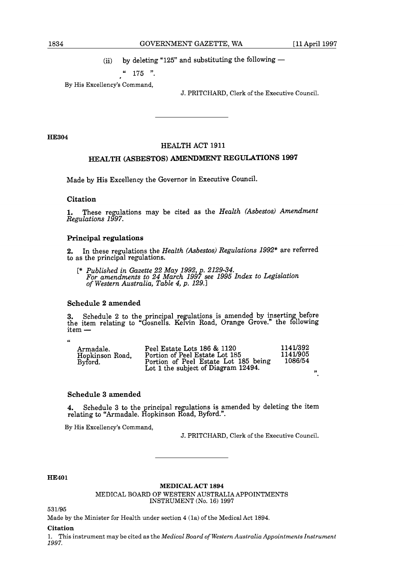(ii) by deleting "125" and substituting the following  $-$ 

## $175$  ".

By His Excellency's Command,

J. PRITCHARD, Clerk of the Executive Council.

**HE304** 

## HEALTH ACT 1911

## HEALTH (ASBESTOS) AMENDMENT REGULATIONS **1997**

Made by His Excellency the Governor in Executive Council.

## Citation

1. These regulations may be cited as the *Health (Asbestos) Amendment Regulations 1997.* 

## Principal regulations

**2.** In these regulations the *Health (Asbestos) Regulations* 1992\* are referred to as the principal regulations.

[\* *Published in Gazette* 22 *May* 1992, . 2129-34. *For amendments to 24 March* <sup>199</sup>f *see* <sup>1995</sup>*Index to Legislation of Western Australia, Table 4, p.* 129.1

## Schedule 2 amended

**3.** Schedule 2 to the principal regulations is amended by inserting before the item relating to "Gosnells. Kelvin Road, Orange Grove." the following item —

**66** 

| Armadale.<br>Hopkinson Road,<br>Byford. | Peel Estate Lots 186 & 1120<br>Portion of Peel Estate Lot 185<br>Portion of Peel Estate Lot 185 being<br>Lot 1 the subject of Diagram 12494. | 1141/392<br>1141/905<br>1086/54<br>,,, |
|-----------------------------------------|----------------------------------------------------------------------------------------------------------------------------------------------|----------------------------------------|
|                                         |                                                                                                                                              |                                        |

## Schedule **3** amended

**4.** Schedule 3 to the principal regulations is amended by deleting the item relating to "Armadale. Hopkinson Road, Byford.".

By His Excellency's Command,

J. PRITCHARD, Clerk of the Executive Council.

## **HE401**

#### **MEDICAL ACT 1894**

MEDICAL BOARD OF WESTERN AUSTRALIA APPOINTMENTS INSTRUMENT (No. 16) 1997

531/95

Made by the Minister for Health under section 4 (1a) of the Medical Act 1894.

#### **Citation**

1. This instrument may be cited as the *Medical Board of Western Australia Appointments Instrument 1997.*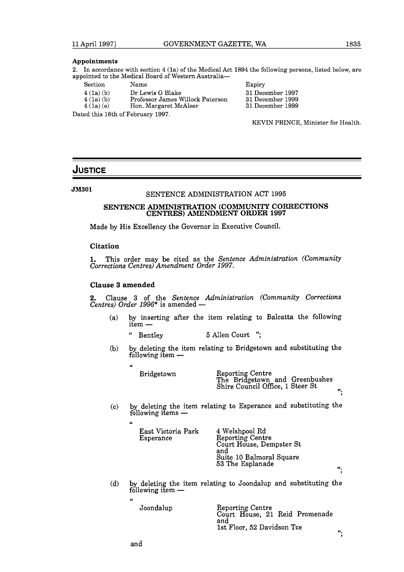#### **Appointments**

**2.** In accordance with section 4 (la) of the Medical Act 1894 the following persons, listed below, are appointed to the Medical Board of Western Australia-

| Section  | Name                              | Expiry  |
|----------|-----------------------------------|---------|
| 4(1a)(b) | Dr Lewis G Blake                  | 31 Dece |
| 4(1a)(b) | Professor James Willock Paterson  | 31 Dece |
| 4(1a)(e) | Hon. Margaret McAleer             | 31 Dece |
|          | Dated this 16th of February 1997. |         |

31 December 1997 31 December 1999 31 December 1999

KEVIN PRINCE, Minister for Health.

## **JUSTICE**

**JM301** 

## SENTENCE ADMINISTRATION ACT 1995

# SENTENCE ADMINISTRATION (COMMUNITY CORRECTIONS CENTRES) AMENDMENT ORDER 1997

Made by His Excellency the Governor in Executive Council.

#### **Citation**

**1.** This order may be cited as the *Sentence Administration (Community Corrections Centres) Amendment Order 1997.* 

## **Clause 3 amended**

u

2. Clause **3** of the *Sentence Administration (Community Corrections*  **2.** Clause 3 of the *Sentence Ad Centres*) *Order* 1996<sup>\*</sup> is amended —

- (a) by inserting after the item relating to Balcatta the following item  $-$ <br>
"Bontlow 5 Allen Court".
	- Bentley 5 Allen Court ";
- (b) by deleting the item relating to Bridgetown and substituting the Example:<br>by deleting the iten<br>following item —

Bridgetown Reporting Centre The Bridgetown and Greenbushes Shire Council Office, 1 Steer St **n.** 

".

";

(c) by deleting the item relating to Esperance and substituting the by deleting the item<br>following items —

| East Victoria Park<br>Esperance | 4 Welshpool Rd<br>Reporting Centre<br>Court House, Dempster St<br>and<br>Suite 10 Balmoral Square |
|---------------------------------|---------------------------------------------------------------------------------------------------|
|                                 | 53 The Esplanade                                                                                  |

(d) by deleting the item relating to Joondalup and substituting the by deleting the iter<br>following item —

> Joondalup Reporting Centre Court House, 21 Reid Promenade and 1st Floor, 52 Davidson Tce

and

**66**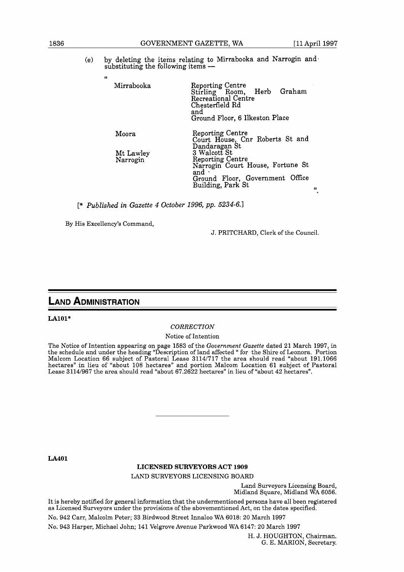(e) by deleting the items relating to Mirrabooka and Narrogin and by deleting the items relating to M<br>substituting the following items —

| Mirrabooka            | <b>Reporting Centre</b><br>Stirling Room, Herb Graham<br>Recreational Centre<br>Chesterfield Rd<br>and<br>Ground Floor, 6 Ilkeston Place |
|-----------------------|------------------------------------------------------------------------------------------------------------------------------------------|
| Moora                 | <b>Reporting Centre</b><br>Court House, Cnr Roberts St and                                                                               |
| Mt Lawley<br>Narrogin | Dandaragan St<br>3 Walcott St<br><b>Reporting Centre</b><br>Narrogin Court House, Fortune St                                             |
|                       | and $\cdot$<br>Ground Floor, Government Office<br>Building, Park St                                                                      |

[\* *Published in Gazette 4 October 1996, pp. 5234-6.1* 

By His Excellency's Command,

**u** 

J. PRITCHARD, Clerk of the Council.

## **LAND ADMINISTRATION**

## **LAlOl\***

## *CORRECTION*

Notice of Intention

The Notice of Intention appearing on page 1583 of the *Government Gazette* dated 21 March 1997, in the schedule and under the heading "Description of land affected " for the Shire of Leonora. Portion Malcom Location 66 subject of Pastoral Lease 31141717 the area should read "about 191.1066 hectares" in lieu of "about 108 hectares" and portion Malcom Location 61 subject of Pastoral Lease 31141967 the area should read "about 67.2622 hectares" in lieu of "about 42 hectares".

**LA401** 

## **LICENSED SURVEYORS ACT 1909**

LAND SURVEYORS LICENSING BOARD

Land Surveyors Licensing Board, Midland Square, Midland WA 6056.

It is hereby notified for general information that the undermentioned persons have all been registered as Licensed Surveyors under the provisions of the abovementioned Act, on the dates specified.

No. 942 Carr, Malcolm Peter; 33 Birdwood Street Innaloo WA 6018: 20 March 1997

No. 943 Harper, Michael John; 141 Velgrove Avenue Parkwood WA 6147: 20 March 1997

H. J. HOUGHTON, Chairman. G. E. MARION, Secretary.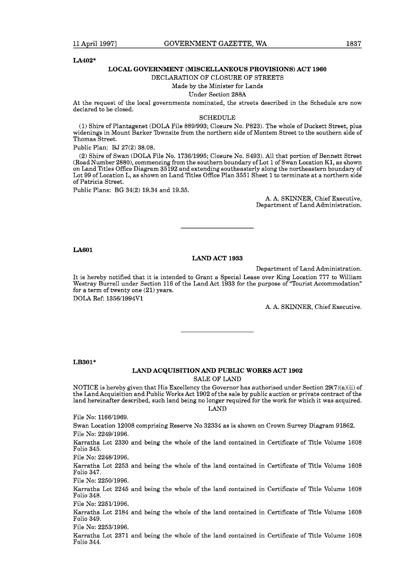#### **LA402\***

#### **LOCAL GOVERNMENT (MISCELLANEOUS PROVISIONS) ACT 1960**

#### DECLARATION OF CLOSURE OF STREETS

Made by the Minister for Lands

Under Section 288A

At the request of the local governments nominated, the streets described in the Schedule are now declared to be closed.

#### SCHEDULE

(1) Shire of Plantagenet (DOLA File 8891993; Closure No. P823). The whole of Duckett Street, plus widenings in Mount Barker Townsite from the northern side of Montem Street to the southern side of Thomas Street.

Public Plan: BJ 27(2) 38.08.

(2) Shire of Swan (DOLA File No. 1736/1995; Closure No. S493). All that portion of Bennett Street (Road Number 2880), commencing from the southern boundary of Lot 1 of Swan Location K1, as shown on Land Titles Office Diagram 35192 and extending southeasterly along the northeastern boundary of Lot 99 of Location L, as shown on Land Titles Office Plan 3551 Sheet 1 to terminate at a northern side of Patricia Street.

Public Plans: BG 34(2) 19.34 and 19.35.

A. A. SKINNER, Chief Executive, Department of Land Administration.

**LA60 1** 

## **LAND ACT 1933**

Department of Land Administration.

It is hereby notified that it is intended to Grant a Special Lease over King Location 777 to William Westray Burrell under Section 116 of the Land Act 1933 for the purpose of "Tourist Accommodation" for a term of twenty one (21) years. DOLA Ref: 1356/1994V1

A. A. SKINNER, Chief Executive.

**LB301\*** 

## **LAND ACQUISITION AND PUBLIC WORKS ACT 1902**

SALE OF LAND

NOTICE is hereby given that His Excellency the Governor has authorised under Section  $29(7)(a)(ii)$  of the Land Acquisition and Public Works Act 1902 of the sale by public auction or private contract of the land hereinafter described, such land being no longer required for the work for which it was acquired.

LAND

File No: 1166/1969.

Swan Location 12008 comprising Reserve No 32334 as is shown on Crown Survey Diagram 91862. File No: 2249/1996.

Karratha Lot 2330 and being the whole of the land contained in Certificate of Title Volume 1608 Folio 345.

File No: 224811996.

Karratha Lot 2253 and being the whole of the land contained in Certificate of Title Volume 1608 Folio 347.

File No: 2250/1996.

Karratha Lot 2245 and being the whole of the land contained in Certificate of Title Volume 1608 Folio 348.

File No: 225111996.

Karratha Lot 2184 and being the whole of the land contained in Certificate of Title Volume 1608 Folio 349.

File No: 225311996.

Karratha Lot 2371 and being the whole of the land contained in Certificate of Title Volume 1608 Folio 344.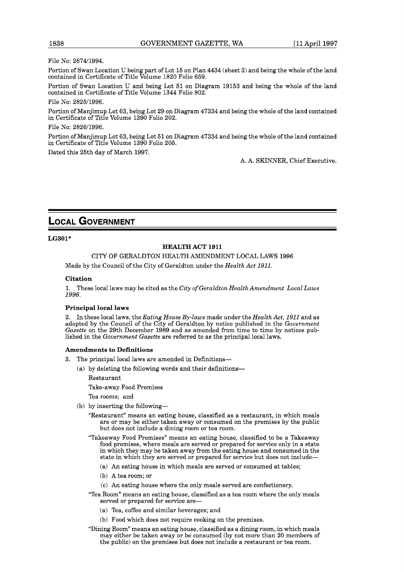File No: 2674/1994.

Portion of Swan Location U being part of Lot 15 on Plan 4434 (sheet 3) and being the whole of the land contained in Certificate of Title Volume 1820 Folio 659.

Portion of Swan Location U and being Lot 51 on Diagram 19153 and being the whole of the land contained in Certificate of Title Volume 1344 Folio 802.

File No: 282511996.

Portion of Manjimup Lot 63, being Lot 29 on Diagram 47334 and being the whole of the land contained in Certificate of Title Volume 1390 Folio 202.

File No: 282611996.

Portion of Manjimup Lot 63, being Lot 51 on Diagram 47334 and being the whole of the land contained in Certificate of Title Volume 1390 Folio 205.

Dated this 25th day of March 1997.

A. A. SKINNER, Chief Executive.

# **LOCAL GOVERNMENT**

**LG301\*** 

## **HEALTH ACT 1911**

CITY OF GERALDTON HEALTH AMENDMENT LOCAL LAWS 1996

Made by the Council of the City of Geraldton under the *Health Act 1911.* 

## **Citation**

1. These local laws may be cited as the *City of Geraldton Health Amendment Local Laws 1996.* 

## **Principal local laws**

2. In these local laws, the *Eating House By-laws* made under the *Health Act, 1911* and as adopted by the Council of the City of Geraldton by notice published in the *Government Gazette* on the 29th December 1989 and as amended from time to time by notices published in the *Government Gazette* are referred to as the principal local laws.

#### **Amendments to Definitions**

- 3. The principal local laws are amended in Definitions-
	- (a) by deleting the following words and their definitions-

Restaurant

Take-away Food Premises

Tea rooms; and

- (b) by inserting the following-
	- "Restaurant" means an eating house, classified as a restaurant, in which meals are or may be either taken away or consumed on the premises by the public but does not include a dining room or tea room.
	- "Takeaway Food Premises" means an eating house, classified to be a Takeaway food premises, where meals are served or prepared for service only in a state in which they may be taken away from the eating house and consumed in the state in which they are served or prepared for service but does not include-
		- (a) An eating house in which meals are served or consumed at tables;
		- (b) A tea room; or
		- (c) An eating house where the only meals served are confectionery.
	- "Tea Room" means an eating house, classified as a tea room where the only meals served or prepared for service are-
		- (a) Tea, coffee and similar beverages; and
		- (b) Food which does not require cooking on the premises.
	- "Dining Room" means an eating house, classified as a dining room, in which meals may either be taken away or be consumed (by not more than 20 members of the public) on the premises but does not include a restaurant or tea room.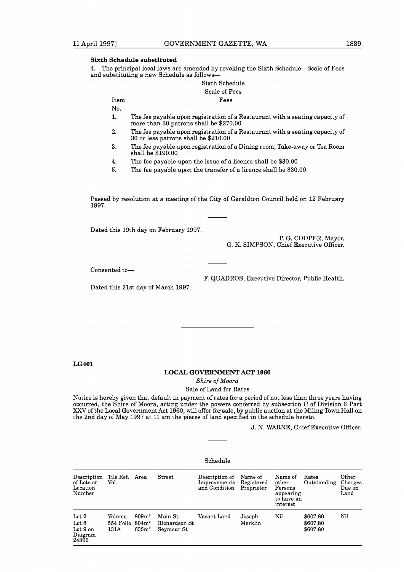## **Sixth Schedule substituted**

**4.** The principal local laws are amended by revoking the Sixth Schedule-Scale of Fees and substituting a new Schedule as follows-

Sixth Schedule Scale of Fees Item Fees

No.

- 1. The fee payable upon registration of a Restaurant with a seating capacity of more than 30 patrons shall be \$270.00
- 2. The fee payable upon registration of a Restaurant with a seating capacity of 30 or less patrons shall be \$210.00
- 3. The fee payable upon registration of a Dining room, Take-away or Tea Room shall be \$190.00
- 4. The fee payable upon the issue of a licence shall be \$30.00
- **5.** The fee payable upon the transfer of a licence shall be \$30.00

Passed by resolution at a meeting of the City of Geraldton Council held on 12 February 1997.

Dated this 19th day on February 1997.

Dated this 21st day of March 1997.

P. G. COOPER, Mayor. G. K. SIMPSON, Chief Executive Officer.

Consented to-

F. QUADROS, Executive Director, Public Health.

**LG401** 

## **LOCAL GOVERNMENT ACT 1960**

*Shire of Moora* 

Sale of Land for Rates

Notice is hereby given that default in payment of rates for a period of not less than three years having occurred, the Shire of Moora, acting under the powers conferred by subsection C of Division 6 Part **XXV** of the Local Government Act 1960, will offer for sale, by public auction at the Miling Town Hall on the 2nd day of May 1997 at 11 am the pieces of land specified in the schedule hereto.

J. N. WARNE, Chief Executive Officer.

## Schedule

| Description<br>of Lots or<br>Location<br>Number           | Tile Ref. Area<br>Vol.                |                                                    | Street                                 | Description of<br>Improvements<br>and Condition | Name of<br>Registered<br>Proprietor | Name of<br>other<br>Persons<br>appearing<br>to have an<br>interest | Rates<br>Outstanding             | Other<br>Charges<br>Due on<br>Land |
|-----------------------------------------------------------|---------------------------------------|----------------------------------------------------|----------------------------------------|-------------------------------------------------|-------------------------------------|--------------------------------------------------------------------|----------------------------------|------------------------------------|
| $_{\rm Lot}$ 2<br>Lot $8$<br>Lot 9 on<br>Diagram<br>24896 | Volume<br>$554$ Folio $804m2$<br>131A | 809 <sub>m</sub> <sup>2</sup><br>635m <sup>2</sup> | Main St<br>Richardson St<br>Seymour St | Vacant Land                                     | Joseph<br>Merklin                   | Nil                                                                | \$607.80<br>\$607.80<br>\$607.80 | Nil                                |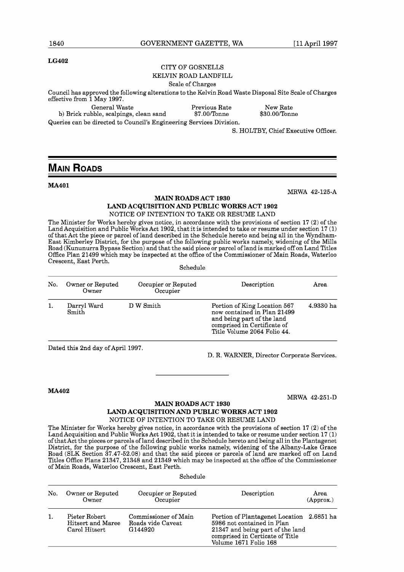MRWA 42-125-A

## **LG402**

## CITY OF GOSNELLS

## KELVIN ROAD LANDFILL

## Scale of Charges

Council has approved the following alterations to the Kelvin Road Waste Disposal Site Scale of Charges effective from 1 May 1997. General Waste Previous Rate New Rate b) Brick rubble, scalpings, clean sand

Queries can be directed to Council's Engineering Services Division.

S. HOLTBY, Chief Executive Officer.

# **MAIN ROADS**

## **MA401**

**MAIN ROADS ACT 1930** 

**LAND ACQUISITION AND PUBLIC WORKS ACT 1902** 

## NOTICE OF INTENTION TO TAKE OR RESUME LAND

The Minister for Works hereby gives notice, in accordance with the provisions of section 17 (2) of the Land Acquisition and Public Works Act 1902, that it is intended to take or resume under section 17 (1) of that Act the piece or parcel of land described in the Schedule hereto and being all in the Wyndham-East Kimberley District, for the purpose of the following public works namely, widening of the Mills Road (Kununurra Bypass Section) and that the said piece or parcel of land is marked off on Land Titles Office Plan 21499 which may be inspected at the office of the Commissioner of Main Roads, Waterloo Crescent, East Perth. Schedule

| No. | Owner or Reputed<br>Owner | Occupier or Reputed<br>Occupier | Description                                                                                                                                             | Area      |
|-----|---------------------------|---------------------------------|---------------------------------------------------------------------------------------------------------------------------------------------------------|-----------|
|     | Darryl Ward<br>Smith      | D W Smith                       | Portion of King Location 567<br>now contained in Plan 21499<br>and being part of the land<br>comprised in Certificate of<br>Title Volume 2064 Folio 44. | 4.9330 ha |

Dated this 2nd day of April 1997.

D. R. WARNER, Director Corporate Services.

#### **MA402**

MRWA 42-251-D

## **MAIN ROADS ACT 1930 LAND ACQUISITION AND PUBLIC WORKS ACT 1902**  NOTICE OF INTENTION TO TAKE OR RESUME LAND

The Minister for Works hereby gives notice, in accordance with the provisions of section 17 (2) of the Land Acquisition and Public Works Act 1902, that it is intended to take or resume under section 17 (1) of that Act the pieces or parcels of land described in the Schedule hereto and being all in the Plantagenet District, for the purpose of the following public works namely, widening of the Albany-Lake Grace Road (SLK Section 37.47-52.08) and that the said pieces or parcels of land are marked off on Land Titles Office Plans 21347,21348 and 21349 which may be inspected at the office of the Commissioner of Main Roads, Waterloo Crescent, East Perth.

#### Schedule

| No. | Owner or Reputed<br>Owner                           | Occupier or Reputed<br>Occupier                      | Description                                                                                                                                                             | Area<br>(Approx.) |
|-----|-----------------------------------------------------|------------------------------------------------------|-------------------------------------------------------------------------------------------------------------------------------------------------------------------------|-------------------|
|     | Pieter Robert<br>Hitsert and Maree<br>Carol Hitsert | Commissioner of Main<br>Roads vide Caveat<br>G144920 | Portion of Plantagenet Location 2.6851 ha<br>5986 not contained in Plan<br>21347 and being part of the land<br>comprised in Certicate of Title<br>Volume 1671 Folio 168 |                   |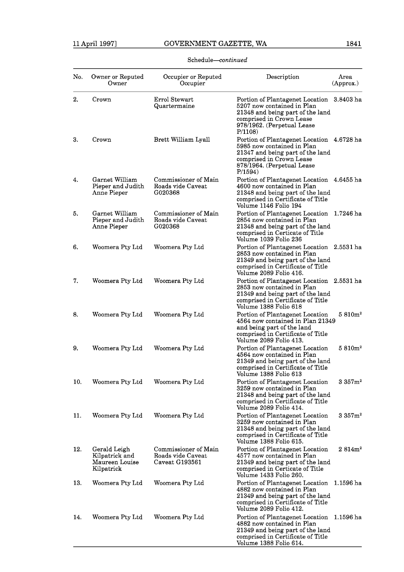| No. | Owner or Reputed<br>Owner                                      | Occupier or Reputed<br>Occupier                             | Description                                                                                                                                                                      | Area<br>(Approx.)   |
|-----|----------------------------------------------------------------|-------------------------------------------------------------|----------------------------------------------------------------------------------------------------------------------------------------------------------------------------------|---------------------|
| 2.  | Crown                                                          | Errol Stewart<br>Quartermaine                               | Portion of Plantagenet Location 3.8403 ha<br>5207 now contained in Plan<br>21348 and being part of the land<br>comprised in Crown Lease<br>978/1962. (Perpetual Lease<br>P/1108  |                     |
| 3.  | Crown                                                          | Brett William Lyall                                         | Portion of Plantagenet Location 4.6728 ha<br>5985 now contained in Plan<br>21347 and being part of the land<br>comprised in Crown Lease<br>878/1964. (Perpetual Lease<br>P/1594) |                     |
| 4.  | Garnet William<br>Pieper and Judith<br>Anne Pieper             | Commissioner of Main<br>Roads vide Caveat<br>G020368        | Portion of Plantagenet Location 4.6455 ha<br>4600 now contained in Plan<br>21348 and being part of the land<br>comprised in Certificate of Title<br>Volume 1146 Folio 194        |                     |
| 5.  | Garnet William<br>Pieper and Judith<br>Anne Pieper             | Commissioner of Main<br>Roads vide Caveat<br>G020368        | Portion of Plantagenet Location 1.7246 ha<br>2854 now contained in Plan<br>21348 and being part of the land<br>comprised in Certicate of Title<br>Volume 1039 Folio 236          |                     |
| 6.  | Woomera Pty Ltd                                                | Woomera Pty Ltd                                             | Portion of Plantagenet Location 2.5531 ha<br>2853 now contained in Plan<br>21349 and being part of the land<br>comprised in Certificate of Title<br>Volume 2089 Folio 416.       |                     |
| 7.  | Woomera Pty Ltd                                                | Woomera Pty Ltd                                             | Portion of Plantagenet Location 2.5531 ha<br>2853 now contained in Plan<br>21349 and being part of the land<br>comprised in Certificate of Title<br>Volume 1388 Folio 618        |                     |
| 8.  | Woomera Pty Ltd                                                | Woomera Pty Ltd                                             | Portion of Plantagenet Location<br>4564 now contained in Plan 21349<br>and being part of the land<br>comprised in Certificate of Title<br>Volume 2089 Folio 413.                 | 5.810m <sup>2</sup> |
| 9.  | Woomera Pty Ltd                                                | Woomera Pty Ltd                                             | Portion of Plantagenet Location<br>4564 now contained in Plan<br>21349 and being part of the land<br>comprised in Certificate of Title<br>Volume 1388 Folio 613                  | 5.810m <sup>2</sup> |
| 10. | Woomera Pty Ltd                                                | Woomera Pty Ltd                                             | Portion of Plantagenet Location<br>3259 now contained in Plan<br>21348 and being part of the land<br>comprised in Certificate of Title<br>Volume 2089 Folio 414.                 | 3.357 <sub>m²</sub> |
| 11. | Woomera Pty Ltd                                                | Woomera Pty Ltd                                             | Portion of Plantagenet Location<br>3259 now contained in Plan<br>21348 and being part of the land<br>comprised in Certificate of Title<br>Volume 1388 Folio 615.                 | 3.357 <sub>m²</sub> |
| 12. | Gerald Leigh<br>Kilpatrick and<br>Maureen Louise<br>Kilpatrick | Commissioner of Main<br>Roads vide Caveat<br>Caveat G193561 | Portion of Plantagenet Location<br>4577 now contained in Plan<br>21349 and being part of the land<br>comprised in Certicate of Title<br>Volume 1433 Folio 260.                   | 2.814m <sup>2</sup> |
| 13. | Woomera Pty Ltd                                                | Woomera Pty Ltd                                             | Portion of Plantagenet Location<br>4882 now contained in Plan<br>21349 and being part of the land<br>comprised in Certificate of Title<br>Volume 2089 Folio 412.                 | 1.1596 ha           |
| 14. | Woomera Pty Ltd                                                | Woomera Pty Ltd                                             | Portion of Plantagenet Location<br>4882 now contained in Plan<br>21349 and being part of the land<br>comprised in Certificate of Title                                           | 1.1596 ha           |

volume 1388 Folio 614.

## ${\bf Schedule}-continued$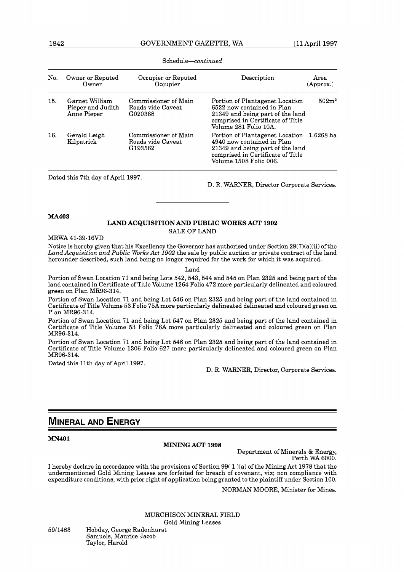| No. | Owner or Reputed<br>Owner                          | Occupier or Reputed<br>Occupier                      | Description                                                                                                                                                      | Area<br>(Approx.) |
|-----|----------------------------------------------------|------------------------------------------------------|------------------------------------------------------------------------------------------------------------------------------------------------------------------|-------------------|
| 15. | Garnet William<br>Pieper and Judith<br>Anne Pieper | Commissioner of Main<br>Roads vide Caveat<br>G020368 | Portion of Plantagenet Location<br>6522 now contained in Plan<br>21349 and being part of the land<br>comprised in Certificate of Title<br>Volume 281 Folio 10A.  | 502m <sup>2</sup> |
| 16. | Gerald Leigh<br>Kilpatrick                         | Commissioner of Main<br>Roads vide Caveat<br>G193562 | Portion of Plantagenet Location<br>4940 now contained in Plan<br>21349 and being part of the land<br>comprised in Certificate of Title<br>Volume 1508 Folio 006. | 1.6268 ha         |

Schedule-continued

Dated this 7th day of April 1997.

D. R. WARNER, Director Corporate Services.

**MA403** 

## **LAND ACQUISITION AND PUBLIC WORKS ACT 1902**  SALE OF LAND

MRWA 41-39-16VD

Notice is hereby given that his Excellency the Governor has authorised under Section  $29(7)(a)(ii)$  of the *Land Acquisition and Public Works Act 1902* the sale by public auction or private contract of the land hereunder described, such land being no longer required for the work for which it was acquired.

Land

Portion of Swan Location 71 and being Lots 542, 543, 544 and 545 on Plan 2325 and being part of the land contained in Certificate of Title Volume 1264 Folio 472 more particularly delineated and coloured green on Plan MR96-314.

Portion of Swan Location 71 and being Lot 546 on Plan 2325 and being part of the land contained in Certificate of Title Volume 53 Folio 75Amore particularly delineated delineated and coloured green on Plan MR96-314.

Portion of Swan Location 71 and being Lot 547 on Plan 2325 and being part of the land contained in Certificate of Title Volume 53 Folio 76A more particularly delineated and coloured green on Plan MR96-314.

Portion of Swan Location 71 and being Lot 548 on Plan 2325 and being part of the land contained in Certificate of Title Volume 1306 Folio 627 more particularly delineated and coloured green on Plan MR96-314.

Dated this 11th day of April 1997.

D. R. WARNER, Director, Corporate Services.

## **MINERAL AND ENERGY**

**MN401** 

#### **MINING ACT 1998**

Department of Minerals & Energy, Perth WA 6000.

I hereby declare in accordance with the provisions of Section 99( 1 )(a) of the Mining Act 1978 that the undermentioned Gold Mining Leases are forfeited for breach of covenant, viz; non compliance with expenditure conditions, with prior right of application being granted to the plaintiff under Section 100.

NORMAN MOORE, Minister for Mines.

MURCHISON MINERAL FIELD Gold Mining Leases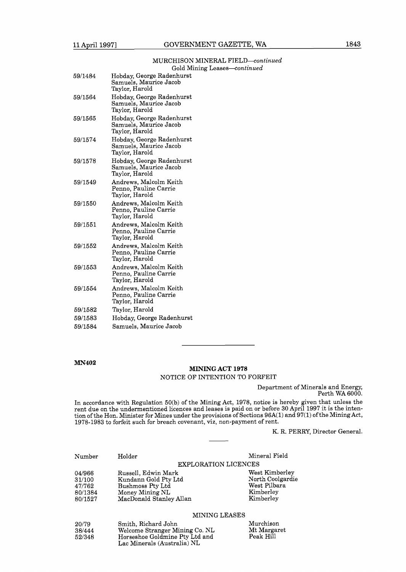## MURCHISON MINERAL FIELD-continued Gold Mining Leases-continued

| 59/1484 | Hobday, George Radenhurst<br>Samuels, Maurice Jacob<br>Taylor, Harold |
|---------|-----------------------------------------------------------------------|
| 59/1564 | Hobday, George Radenhurst<br>Samuels, Maurice Jacob<br>Taylor, Harold |
| 59/1565 | Hobday, George Radenhurst<br>Samuels, Maurice Jacob<br>Taylor, Harold |
| 59/1574 | Hobday, George Radenhurst<br>Samuels, Maurice Jacob<br>Taylor, Harold |
| 59/1578 | Hobday, George Radenhurst<br>Samuels, Maurice Jacob<br>Taylor, Harold |
| 59/1549 | Andrews, Malcolm Keith<br>Penno, Pauline Carrie<br>Taylor, Harold     |
| 59/1550 | Andrews, Malcolm Keith<br>Penno, Pauline Carrie<br>Taylor, Harold     |
| 59/1551 | Andrews, Malcolm Keith<br>Penno, Pauline Carrie<br>Taylor, Harold     |
| 59/1552 | Andrews, Malcolm Keith<br>Penno, Pauline Carrie<br>Taylor, Harold     |
| 59/1553 | Andrews, Malcolm Keith<br>Penno, Pauline Carrie<br>Taylor, Harold     |
| 59/1554 | Andrews, Malcolm Keith<br>Penno, Pauline Carrie<br>Taylor, Harold     |
| 59/1582 | Taylor, Harold                                                        |
| 59/1583 | Hobday, George Radenhurst                                             |
| 59/1584 | Samuels, Maurice Jacob                                                |

## **MN402**

## MINING **ACT** 1978 NOTICE OF INTENTION TO FORFEIT

Department of Minerals and Energy, Perth WA 6000.

In accordance with Regulation 50(b) of the Mining Act, 1978, notice is hereby given that unless the rent due on the undermentioned licences and leases is paid on or before 30 April 1997 it is the intention of the Hon. Minister for Mines under the provisions of Sections 96A(1) and 97(1) of the Mining Act, 1978-1983 to forfeit such for breach covenant, viz, non-payment of rent.

K. R. PERRY, Director General.

| Number                                           | Holder                                                                                                        | Mineral Field                                                                |
|--------------------------------------------------|---------------------------------------------------------------------------------------------------------------|------------------------------------------------------------------------------|
|                                                  |                                                                                                               | EXPLORATION LICENCES                                                         |
| 04/966<br>31/100<br>47/762<br>80/1384<br>80/1527 | Russell, Edwin Mark<br>Kundann Gold Pty Ltd<br>Bushmoss Pty Ltd<br>Money Mining NL<br>MacDonald Stanley Allan | West Kimberley<br>North Coolgardie<br>West Pilbara<br>Kimberley<br>Kimberley |

MINING LEASES

| 20/79  | Smith, Richard John            | Murchison   |
|--------|--------------------------------|-------------|
| 38/444 | Welcome Stranger Mining Co. NL | Mt Margaret |
| 52/348 | Horseshoe Goldmine Pty Ltd and | Peak Hill   |
|        | Lac Minerals (Australia) NL    |             |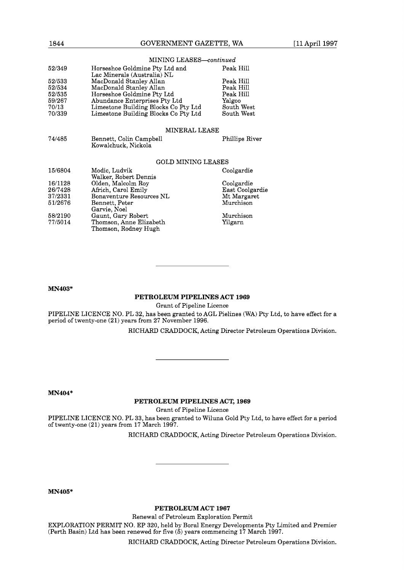| 1844   | GOVERNMENT GAZETTE, WA                                        | [11 April 1997 |  |  |  |  |  |
|--------|---------------------------------------------------------------|----------------|--|--|--|--|--|
|        | MINING LEASES-continued                                       |                |  |  |  |  |  |
| 52/349 | Horseshoe Goldmine Pty Ltd and<br>Lac Minerals (Australia) NL | Peak Hill      |  |  |  |  |  |
| 52/533 | MacDonald Stanley Allan                                       | Peak Hill      |  |  |  |  |  |
| 52/534 | MacDonald Stanley Allan                                       | Peak Hill      |  |  |  |  |  |
| 52/535 | Horseshoe Goldmine Pty Ltd                                    | Peak Hill      |  |  |  |  |  |
| 59/267 | Abundance Enterprises Pty Ltd                                 | Yalgoo         |  |  |  |  |  |
| 70/13  | Limestone Building Blocks Co Pty Ltd                          | South West     |  |  |  |  |  |
| 70/339 | Limestone Building Blocks Co Pty Ltd                          | South West     |  |  |  |  |  |
|        | MINERAL LEASE                                                 |                |  |  |  |  |  |
| 74/485 | Bennett, Colin Campbell<br>Kowalchuck, Nickola                | Phillips River |  |  |  |  |  |

#### GOLD MINING LEASES

| 15/6804 | Modic, Ludvik<br>Walker, Robert Dennis          | Coolgardie      |
|---------|-------------------------------------------------|-----------------|
| 16/1128 | Olden, Malcolm Roy                              | Coolgardie      |
| 26/7428 | Africh, Carol Emily                             | East Coolgardie |
| 37/2331 | Bonaventure Resources NL                        | Mt Margaret     |
| 51/2676 | Bennett, Peter<br>Garvie, Noel                  | Murchison       |
| 58/2190 | Gaunt, Gary Robert                              | Murchison       |
| 77/5014 | Thomson, Anne Elizabeth<br>Thomson, Rodney Hugh | Yilgarn         |

**MN403"** 

## **PETROLEUM PIPELINES ACT 1969**

Grant of Pipeline Licence

PIPELINE LICENCE NO. PL 32, has been granted to AGL Pielines (WA) Pty Ltd, to have effect for a period of twenty-one (21) years from 27 November 1996.

RICHARD CRADDOCK, Acting Director Petroleum Operations Division.

**MN404\*** 

**PETROLEUM PIPELINES ACT, 1969** 

Grant of Pipeline Licence

PIPELINE LICENCE NO. PL 33, has been granted to Wiluna Gold Pty Ltd, to have effect for a period of twenty-one (21) years from 17 March 1997.

RICHARD CRADDOCK, Acting Director Petroleum Operations Division.

**MN405\*** 

**PETROLEUM ACT 1967** 

Renewal of Petroleum Exploration Permit

EXPLORATION PERMIT NO. EP 320, held by Boral Energy Developments Pty Limited and Premier (Perth Basin) Ltd has been renewed for five (5) years commencing 17 March 1997.

RICHARD CRADDOCK, Acting Director Petroleum Operations Division.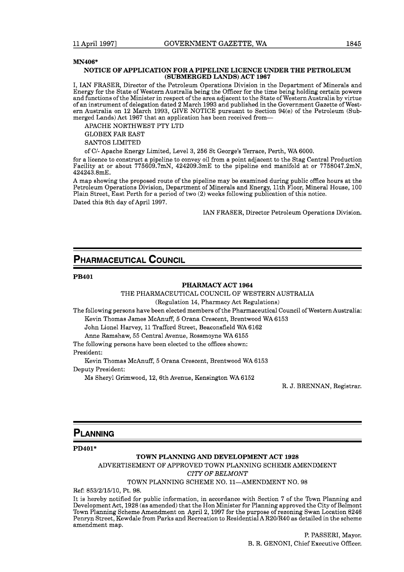#### **MN406\***

#### **NOTICE OF APPLICATION FOR A PIPELINE LICENCE UNDER THE PETROLEUM (SUBMERGED LANDS) ACT 1967**

I, IAN FRASER, Director of the Petroleum Operations Division in the Department of Minerals and Energy for the State of Western Australia being the Officer for the time being holding certain powers and functions of the Minister in respect of the area adjacent to the State of Western Australia by virtue of an instrument of delegation dated 2 March 1993 and published in the Government Gazette of Western Australia on 12 March 1993, GIVE NOTICE pursuant to Section 94(e) of the Petroleum (Submerged Lands) Act 1967 that an application has been received from-

APACHE NORTHWEST PTY LTD

GLOBEX FAR EAST

SANTOS LIMITED

of CI- Apache Energy Limited, Level 3, 256 St George's Terrace, Perth, WA 6000.

for a licence to construct a pipeline to convey oil from a point adjacent to the Stag Central Production Facility at or about 775609.7mN, 424209.3mE to the pipeline end manifold at or 7758047.2mN, 424243.8mE.

A map showing the proposed route of the pipeline may be examined during public office hours at the Petroleum Operations Division, Department of Minerals and Energy, 11th Floor, Mineral House, 100 Plain Street, East Perth for a period of two (2) weeks following publication of this notice. Dated this 8th day of April 1997.

IAN FRASER, Director Petroleum Operations Division.

## **PHARMACEUTICAL COUNCIL**

#### **PB401**

## **PHARMACY ACT 1964**

THE PHARMACEUTICAL COUNCIL OF WESTERN AUSTRALIA

(Regulation 14, Pharmacy Act Regulations)

The following persons have been elected members of the Pharmaceutical Council of Western Australia: Kevin Thomas James McAnuff, 5 Orana Crescent, Brentwood WA 6153

John Lionel Harvey, 11 Trafford Street, Beaconsfield WA 6162

Anne Ramshaw, 55 Central Avenue, Rossmoyne WA 6155

The following persons have been elected to the offices shown:

President:

Kevin Thomas McAnuff, 5 Orana Crescent, Brentwood WA 6153

Deputy President:

Ms Sheryl Grimwood, 12,6th Avenue, Kensington WA 6152

R. J. BRENNAN, Registrar.

## **PLANNING**

**PD401\*** 

## **TOWN PLANNING AND DEVELOPMENT ACT 1928**

ADVERTISEMENT OF APPROVED TOWN PLANNING SCHEME AMENDMENT

**CITY** OF BELMONT

TOWN PLANNING SCHEME NO. 11-AMENDMENT NO. 98

Ref: 853/2/15/10, Pt. 98.

It is hereby notified for public information, in accordance with Section 7 of the Town Planning and Development Act, 1928 (as amended) that the Hon Minister for Planning approved the City of Belmont Town Planning Scheme Amendment on April 2, 1997 for the purpose of rezoning Swan Location 8246 Penryn Street, Kewdale from Parks and Recreation to Residential AR20/R40 as detailed in the scheme amendment map.

> P. PASSERI, Mayor. B. R. GENONI, Chief Executive Officer.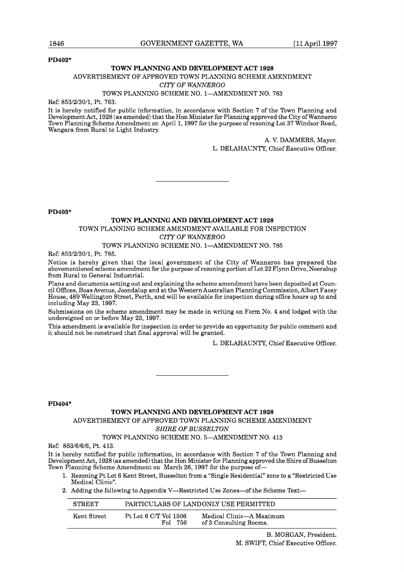#### **PD402\***

## **TOWN PLANNING AND DEVELOPMENT ACT 1928**

## ADVERTISEMENT OF APPROVED TOWN PLANNING SCHEME AMENDMENT

## *CITY OF WANNEROO*

## TOWN PLANNING SCHEME NO. 1-AMENDMENT NO. 763

Ref: 853/2/30/1, Pt. 763.

It is hereby notified for public information, in accordance with Section 7 of the Town Planning and Development Act, 1928 (as amended) that the Hon Minister for Planning approved the City of Wanneroo Town Planning Scheme Amendment on April 1,1997 for the purpose of rezoning Lot 37 Windsor Road, Wangara from Rural to Light Industry.

> A. V. DAMMERS, Mayor. L. DELAHAUNTY, Chief Executive Officer.

**PD403\*** 

## **TOWN PLANNING AND DEVELOPMENT ACT 1928**  TOWN PLANNING SCHEME AMENDMENT AVAILABLE FOR INSPECTION *CITY OF WANNER00*

#### TOWN PLANNING SCHEME NO. 1-AMENDMENT NO. 785

Ref: 853/2/30/1, Pt. 785.

Notice is hereby given that the local government of the City of Wanneroo has prepared the abovementioned scheme amendment for the purpose of rezoning portion of Lot 22 Flynn Drive, Neerabup from Rural to General Industrial.

Plans and documents setting out and explaining the scheme amendment have been deposited at Council Offices, Boas Avenue, Joondalup and at the Western Australian Planning Commission, Albert Facey House, 469 Wellington Street, Perth, and will be available for inspection during office hours up to and including May 23, 1997.

Submissions on the scheme amendment may be made in writing on Form No. 4 and lodged with the undersigned on or before May 23, 1997.

This amendment is available for inspection in order to provide an opportunity for public comment and it should not be construed that final approval will be granted.

L. DELAHAUNTY, Chief Executive Officer.

**PD404\*** 

#### **TOWN PLANNING AND DEVELOPMENT ACT 1928**

ADVERTISEMENT OF APPROVED TOWN PLANNING SCHEME AMENDMENT **SHIRE OF BUSSELTON** 

## TOWN PLANNING SCHEME NO. 5-AMENDMENT NO. 413

Ref: 853/6/6/6, Pt. 413.

It is hereby notified for public information, in accordance with Section 7 of the Town Planning and Development Act, 1928 (as amended) that the Hon Minister for Planning approved the Shire of Busselton Town Planning Scheme Amendment on March 26, 1997 for the purpose of-

- 1. Rezoning Pt Lot 6 Kent Street, Busselton from a "Single Residential" zone to a "Restricted Use Medical Clinic".
- 2. Adding the following to Appendix V—Restricted Use Zones—of the Scheme Text—

| <b>STREET</b> |                                  | PARTICULARS OF LANDONLY USE PERMITTED              |
|---------------|----------------------------------|----------------------------------------------------|
| Kent Street   | Pt Lot 6 C/T Vol 1506<br>Fol 756 | Medical Clinic—A Maximum<br>of 3 Consulting Rooms. |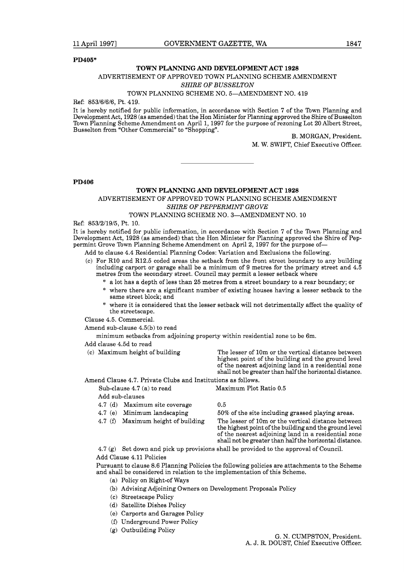**PD405\*** 

#### **TOWN PLANNING AND DEVELOPMENT ACT 1928**

## ADVERTISEMENT OF APPROVED TOWN PLANNING SCHEME AMENDMENT

#### **SHIRE OF BUSSELTON**

## TOWN PLANNING SCHEME NO. 5-AMENDMENT NO. 419

#### Ref: 853/6/6/6, Pt. 419.

It is hereby notified for public information, in accordance with Section 7 of the Town Planning and Development Act, 1928 (as amended) that the Hon Minister for Planning approved the Shire of Busselton Town Planning Scheme Amendment on April 1,1997 for the purpose of rezoning Lot 20 Albert Street, Busselton from "Other Commercial" to "Shopping".

B. MORGAN, President.

M. W. SWIFT, Chief Executive Officer.

**PD406** 

## **TOWN PLANNING AND DEVELOPMENT ACT 1928**  ADVERTISEMENT OF APPROVED TOWN PLANNING SCHEME AMENDMENT

*SHIRE OF PEPPERMINT GROVE* 

## TOWN PLANNING SCHEME NO. 3-AMENDMENT NO. 10

Ref: 853/2/19/5, Pt. 10.

It is hereby notified for public information, in accordance with Section 7 of the Town Planning and Development Act, 1928 (as amended) that the Hon Minister for Planning approved the Shire of Peppermint Grove Town Planning Scheme Amendment on April 2, 1997 for the purpose of-

Add to clause 4.4 Residential Planning Codes: Variation and Exclusions the following.

- (c) For R10 and R12.5 coded areas the setback from the front street boundary to any building including carport or garage shall be a minimum of 9 metres for the primary street and 4.5 metres from the secondary street. Council may permit a lesser setback where
	- \* a lot has a depth of less than 25 metres from a street boundary to a rear boundary; or
	- \* where there are a significant number of existing houses having a lesser setback to the same street block; and
	- \* where it is considered that the lesser setback will not detrimentally affect the quality of the streetscape.
- Clause 4.5. Commercial.

Amend sub-clause 4.5(b) to read

minimum setbacks from adjoining property within residential zone to be 6m.

- Add clause 4.5d to read
- 

(c) Maximum height of building The lesser of 10m or the vertical distance between highest point of the building and the ground level of the nearest adjoining land in a residential zone shall not be greater than half the horizontal distance.

Amend Clause 4.7. Private Clubs and Institutions as follows.

Sub-clause 4.7 (a) to read Maximum Plot Ratio 0.5

Add sub-clauses

- 4.7 (d) Maximum site coverage 0.5<br>4.7 (e) Minimum landscaping 509
- 
- 

50% of the site including grassed playing areas. 4.7 (f) Maximum height of building The lesser of 10m or the vertical distance between the highest point of the building and the ground level of the nearest adjoining land in a residential zone shall not be greater than half the horizontal distance.

4.7 (g) Set down and pick up provisions shall be provided to the approval of Council.

Add Clause 4.11 Policies

Pursuant to clause 8.6 Planning Policies the following policies are attachments to the Scheme and shall be considered in relation to the implementation of this Scheme.

- (a) Policy on Right-of Ways
- (b) Advising Adjoining Owners on Development Proposals Policy
- (c) Streetscape Policy
- (d) Satellite Dishes Policy
- (e) Carports and Garages Policy
- (f) Underground Power Policy
- (g) Outbuilding Policy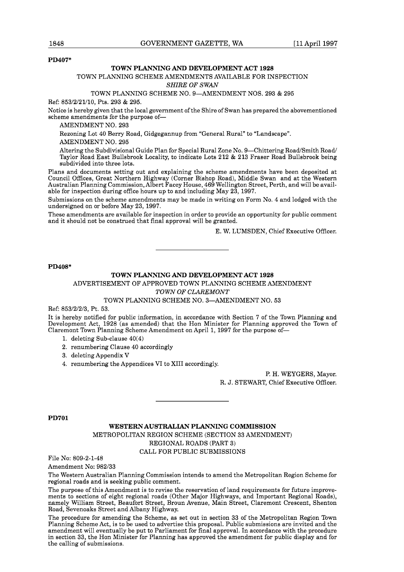#### **PD407\***

#### **TOWN PLANNING AND DEVELOPMENT ACT 1928**

## TOWN PLANNING SCHEME AMENDMENTS AVAILABLE FOR INSPECTION

## *SHIRE OF SWAN*

## TOWN PLANNING SCHEME NO. 9-AMENDMENT NOS. 293 & 295

Ref: 853/2/21/10, Pts. 293 & 295.

Notice is hereby given that the local government of the Shire of Swan has prepared the abovementioned scheme amendments for the purpose of-

AMENDMENT NO. 293

Rezoning Lot 40 Berry Road, Gidgegannup from "General Rural" to "Landscape".

AMENDMENT NO. 295

Altering the Subdivisional Guide Plan for Special Rural Zone No. 9-Chittering Road/Smith Road/ Taylor Road East Bullsbrook Locality, to indicate Lots 212 & 213 Fraser Road Bullsbrook being subdivided into three lots.

Plans and documents setting out and explaining the scheme amendments have been deposited at Council Offices, Great Northern Highway (Corner Bishop Road), Middle Swan and at the Western Australian Planning Commission, Albert Facey House, 469 Wellington Street, Perth, and will be available for inspection during office hours up to and including May 23, 1997.

Submissions on the scheme amendments may be made in writing on Form No. 4 and lodged with the undersigned on or before May 23, 1997.

These amendments are available for inspection in order to provide an opportunity for public comment and it should not be construed that final approval will be granted.

E. W. LUMSDEN, Chief Executive Officer.

**PD408\*** 

## **TOWN PLANNING AND DEVELOPMENT ACT 1928**

ADVERTISEMENT OF APPROVED TOWN PLANNING SCHEME AMENDMENT

*TOWN OF CLAREMONT* 

#### TOWN PLANNING SCHEME NO. 3-AMENDMENT NO. 53

Ref: 853/2/2/3, Pt. 53.

It is hereby notified for public information, in accordance with Section 7 of the Town Planning and Development Act, 1928 (as amended) that the Hon Minister for Planning approved the Town of Claremont Town Planning Scheme Amendment on April 1, 1997 for the purpose of-

- **1,** deleting Sub-clause 40(4)
- 2. renumbering Clause 40 accordingly
- 3, deleting Appendix V
- 4. renumbering the Appendices VI to XI11 accordingly.

P. H. WEYGERS, Mayor. R. J. STEWART, Chief Executive Officer.

**PD701** 

**WESTERN AUSTRALIAN PLANNING COMMISSION**  METROPOLITAN REGION SCHEME (SECTION 33 AMENDMENT) REGIONAL ROADS (PART 3) CALL FOR PUBLIC SUBMISSIONS

File No: 809-2-1-48

Amendment No: 982/33

The Western Australian Planning Commission intends to amend the Metropolitan Region Scheme for regional roads and is seeking public comment.

The purpose of this Amendment is to revise the reservation of land requirements for future improvements to sections of eight regional roads (Other Major Highways, and Important Regional Roads), namely William Street, Beaufort Street, Broun Avenue, Main Street, Claremont Crescent, Shenton Road, Sevenoaks Street and Albany Highway.

The procedure for amending the Scheme, as set out in section 33 of the Metropolitan Region Town Planning Scheme Act, is to be used to advertise this proposal. Public submissions are invited and the amendment will eventually be put to Parliament for final approval. In accordance with the procedure in section 33, the Hon Minister for Planning has approved the amendment for public display and for the calling of submissions.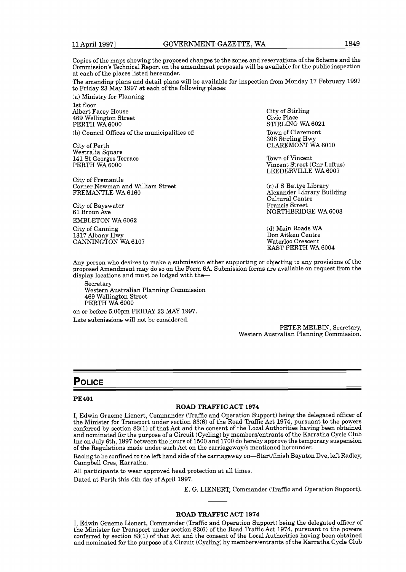Copies of the maps showing the proposed changes to the zones and reservations of the Scheme and the Commission's Technical Report on the amendment proposals will be available for the public inspection at each of the places listed hereunder.

The amending plans and detail plans will be available for inspection from Monday 17 February 1997 to Friday 23 May 1997 at each of the following places:

(a) Ministry for Planning 1st floor Albert Facey House 469 Wellington Street PERTH WA 6000

(b) Council Offices of the municipalities of:

City of Perth Westralia Square 141 St Georges Terrace PERTH WA 6000

City of Fremantle Corner Newman and William Street FREMANTLE WA 6160

City of Bayswater 61 Broun Ave EMBLETON WA 6062

City of Canning 1317 Albany Hwy CANNINGTON WA 6107 City of Stirling Civic Place STIRLlNG WA 6021 Town of Claremont 308 Stirling Hwy CLAREMONT WA 6010

Town of Vincent Vincent Street (Cnr Loftus) LEEDERVILLE WA 6007

(c) J S Battye Library Alexander Library Building Cultural Centre Francis Street NORTHBRIDGE WA 6003

(d) Main Roads WA Don Aitken Centre Waterloo Crescent EAST PERTH WA 6004

Any person who desires to make a submission either supporting or objecting to any provisions of the proposed Amendment may do so on the Form 6A. Submission forms are available on request from the display locations and must be lodged with the-

Secretary Western Australian Planning Commission 469 Wellington Street PERTH WA 6000

on or before 5.00pm FRIDAY 23 MAY 1997. Late submissions will not be considered.

> PETER MELBIN, Secretary, Western Australian Planning Commission.

## Police

#### **PE401**

#### **ROAD TRAFFIC ACT 1974**

I, Edwin Graeme Lienert, Commander (Traffic and Operation Support) being the delegated officer of the Minister for Transport under section 83(6) of the Road Traffic Act 1974, pursuant to the powers conferred by section  $83(1)$  of that Act and the consent of the Local Authorities having been obtained and nominated for the purpose of a Circuit (Cycling) by members/entrants of the Karratha Cycle Club Inc on July 6th, 1997 between the hours of 1500 and 1700 do hereby approve the temporary suspension of the Regulations made under such Act on the carriagewayls mentioned hereunder.

Racing to be confined to the left hand side of the carriageway on-Startffinish Baynton Dve, left Radley, Campbell Cres, Karratha.

All participants to wear approved head protection at all times. Dated at Perth this 4th day of April 1997.

E. G. LIENERT, Commander (Traffic and Operation Support).

#### **ROAD TRAFFIC ACT 1974**

I, Edwin Graeme Lienert, Commander (Traffic and Operation Support) being the delegated officer of the Minister for Transport under section 83(6) of the Road Traffic Act 1974, pursuant to the powers conferred by section 83(1) of that Act and the consent of the Local Authorities having been obtained and nominated for the purpose of a Circuit (Cycling) by members/entrants of the Karratha Cycle Club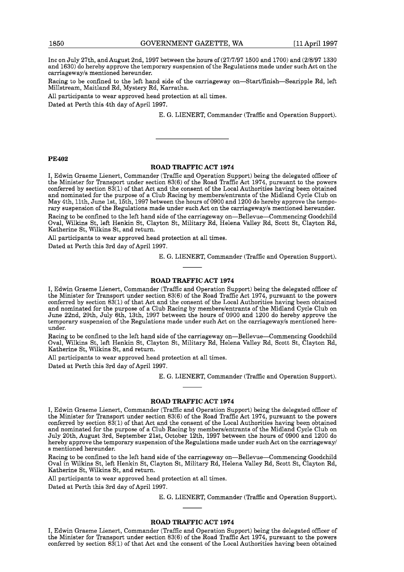Inc on July 27th, and August 2nd, 1997 between the hours of (27/7/97 1500 and 1700) and (2/8/97 1330 and 1630) do hereby approve the temporary suspension of the Regulations made under such Act on the carriagewayls mentioned hereunder.

Racing to be confined to the left hand side of the carriageway on-Startlfinish-Searipple Rd, left Millstream, Maitland Rd, Mystery Rd, Karratha.

All participants to wear approved head protection at all times.

Dated at Perth this 4th day of April 1997.

E. G. LIENERT, Commander (Traffic and Operation Support).

#### **PE402**

### **ROAD TRAFFIC ACT 1974**

I, Edwin Graeme Lienert, Commander (Traffic and Operation Support) being the delegated officer of the Minister for Transport under section 83(6) of the Road Traffic Act 1974, pursuant to the powers conferred by section  $83(1)$  of that Act and the consent of the Local Authorities having been obtained and nominated for the purpose of a Club Racing by memberslentrants of the Midland Cycle Club on May 4th, llth, June lst, 15th, 1997 between the hours of 0900 and 1200 do hereby approve the temporary suspension of the Regulations made under such Act on the carriagewayls mentioned hereunder. Racing to be confined to the left hand side of the carriageway on-Bellevue-Commencing Goodchild Oval, Wilkins St, left Henkin St, Clayton St, Military Rd, Helena Valley Rd, Scott St, Clayton Rd, Katherine St, Wilkins St, and return.

All participants to wear approved head protection at all times.

Dated at Perth this 3rd day of April 1997.

E. G. LIENERT, Commander (Traffic and Operation Support).

## **ROAD TRAFFIC ACT 1974**

I, Edwin Graeme Lienert, Commander (Traffic and Operation Support) being the delegated officer of the Minister for Transport under section 83(6) of the Road Traffic Act 1974, pursuant to the powers conferred by section 83(1) of that Act and the consent of the Local Authorities having been obtained and nominated for the purpose of a Club Racing by memberslentrants of the Midland Cycle Club on June 22nd, 29th, July 6th, 13th, 1997 between the hours of 0900 and 1200 do hereby approve the temporary suspension of the Regulations made under such Act on the carriageway/s mentioned hereunder.

Racing to be confined to the left hand side of the carriageway on-Bellevue-Commencing Goodchild Oval, Wilkins St, left Henkin St, Clayton St, Military Rd, Helena Valley Rd, Scott St, Clayton Rd, Katherine St, Wilkins St, and return.

All participants to wear approved head protection at all times. Dated at Perth this 3rd day of April 1997.

E. G. LIENERT, Commander (Traffic and Operation Support).

## **ROAD TRAFFIC ACT 1974**

I, Edwin Graeme Lienert, Commander (Traffic and Operation Support) being the delegated officer of the Minister for Transport under section 83(6) of the Road Traffic Act 1974, pursuant to the powers conferred by section 83(1) of that Act and the consent of the Local Authorities having been obtained and nominated for the purpose of a Club Racing by memberslentrants of the Midland Cycle Club on July 20th, August 3rd, September 21st, October 12th, 1997 between the hours of 0900 and 1200 do hereby approve the temporary suspension of the Regulations made under such Act on the carriagewayl s mentioned hereunder.

Racing to be confined to the left hand side of the carriageway on-Bellevue-Commencing Goodchild Oval in Wilkins St, left Henkin St, Clayton St, Military Rd, Helena Valley Rd, Scott St, Clayton Rd, Katherine St, Wilkins St, and return.

All participants to wear approved head protection at all times.

Dated at Perth this 3rd day of April 1997.

E. G. LIENERT, Commander (Traffic and Operation Support).

#### **ROAD TRAFFIC ACT 1974**

I, Edwin Graeme Lienert, Commander (Traffic and Operation Support) being the delegated officer of the Minister for Transport under section 83(6) of the Road Traffic Act 1974, pursuant to the powers conferred by section 83(1) of that Act and the consent of the Local Authorities having been obtained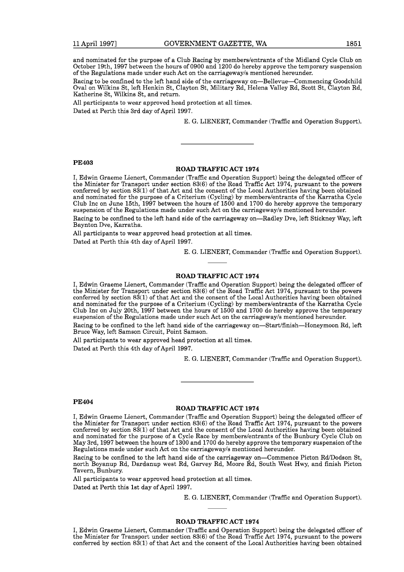and nominated for the purpose of a Club Racing by memberslentrants of the Midland Cycle Club on October 19th, 1997 between the hours of 0900 and 1200 do hereby approve the temporary suspension of the Regulations made under such Act on the carriagewayls mentioned hereunder.

Racing to be confined to the left hand side of the carriageway on-Bellevue-Commencing Goodchild Oval on Wilkins St, left Henkin St, Clayton St, Military Rd, Helena Valley Rd, Scott St, Clayton Rd, Katherine St, Wilkins St, and return.

All participants to wear approved head protection at all times.

Dated at Perth this 3rd day of April 1997.

E. G. LIENERT, Commander (Traffic and Operation Support).

#### **PE403**

#### **ROAD TRAFFIC ACT 1974**

I, Edwin Graeme Lienert, Commander (Traffic and Operation Support) being the delegated officer of the Minister for Transport under section 83(6) of the Road Traffic Act 1974, pursuant to the powers conferred by section 83(1) of that Act and the consent of the Local Authorities having been obtained and nominated for the purpose of a Criterium (Cycling) by memberslentrants of the Karratha Cycle Club Inc on June 15th, 1997 between the hours of 1500 and 1700 do hereby approve the temporary suspension of the Regulations made under such Act on the carriageway/s mentioned hereunder.

Racing to be confined to the left hand side of the carriageway on-Radley Dve, left Stickney Way, left Baynton Dve, Karratha.

All participants to wear approved head protection at all times.

Dated at Perth this 4th day of April 1997.

E. G. LIENERT, Commander (Traffic and Operation Support).

## **ROAD TRAFFIC ACT 1974**

I, Edwin Graeme Lienert, Commander (Traffic and Operation Support) being the delegated officer of the Minister for Transport under section 83(6) of the Road Traffic Act 1974, pursuant to the powers conferred by section 83(1) of that Act and the consent of the Local Authorities having been obtained and nominated for the purpose of a Criterium (Cycling) by members/entrants of the Karratha Cycle Club Inc on July 20th, 1997 between the hours of 1500 and 1700 do hereby approve the temporary suspension of the Regulations made under such Act on the carriagewayls mentioned hereunder.

Racing to be confined to the left hand side of the carriageway on—Start/finish—Honeymoon Rd, left Bruce Way, left Samson Circuit, Point Samson.

All participants to wear approved head protection at all times. Dated at Perth this 4th day of April 1997.

E. G. LIENERT, Commander (Traffic and Operation Support).

#### **PE404**

#### **ROAD TRAFFIC ACT 1974**

I, Edwin Graeme Lienert, Commander (Traffic and Operation Support) being the delegated officer of the Minister for Transport under section 83(6) of the Road Traffic Act 1974, pursuant to the powers conferred by section 83(1) of that Act and the consent of the Local Authorities having been obtained and nominated for the purpose of a Cycle Race by memberslentrants of the Bunbury Cycle Club on May 3rd, 1997 between the hours of 1300 and 1700 do hereby approve the temporary suspension of the Regulations made under such Act on the carriagewayls mentioned hereunder.

Racing to be confined to the left hand side of the carriageway on-Commence Picton Rd/Dodson St, north Boyanup Rd, Dardanup west Rd, Garvey Rd, Moore Rd, South West Hwy, and finish Picton Tavern, Bunbury.

All participants to wear approved head protection at all times.

Dated at Perth this 1st day of April 1997.

E. G. LIENERT, Commander (Traffic and Operation Support).

## **ROAD TRAFFIC ACT 1974**

I, Edwin Graeme Lienert, Commander (Traffic and Operation Support) being the delegated officer of the Minister for Transport under section 83(6) of the Road Traffic Act 1974, pursuant to the powers conferred by section 83(1) of that Act and the consent of the Local Authorities having been obtained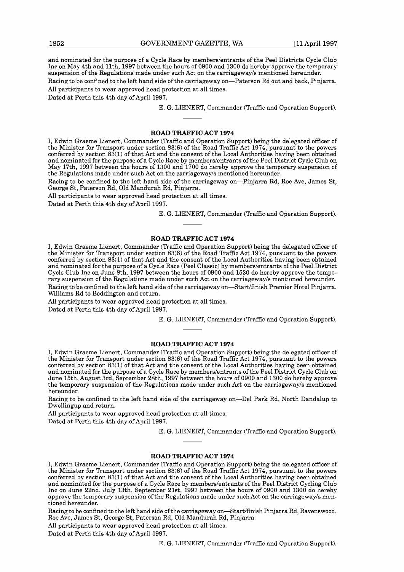and nominated for the purpose of a Cycle Race by memberslentrants of the Peel Districts Cycle Club Inc on May 4th and llth, 1997 between the hours of 0900 and 1300 do hereby approve the temporary suspension of the Regulations made under such Act on the carriageway/s mentioned hereunder.

Racing to be confined to the left hand side of the carriageway on—Paterson Rd out and back, Pinjarra. All participants to wear approved head protection at all times.

Dated at Perth this 4th day of April 1997.

E. G. LIENERT, Commander (Traffic and Operation Support).

#### **ROAD TRAFFIC ACT 1974**

I, Edwin Graeme Lienert, Commander (Traffic and Operation Support) being the delegated officer of the Minister for Transport under section 83(6) of the Road Traffic Act 1974, pursuant to the powers conferred by section 83(1) of that Act and the consent of the Local Authorities having been obtained and nominated for the purpose of a Cycle Race by memberslentrants of the Peel District Cycle Club on May 17th, 1997 between the hours of 1300 and 1700 do hereby approve the temporary suspension of the Regulations made under such Act on the carriagewayls mentioned hereunder.

Racing to be confined to the left hand side of the carriageway on-Pinjarra Rd, Roe Ave, James St, George St, Paterson Rd, Old Mandurah Rd, Pinjarra.

All participants to wear approved head protection at all times.

Dated at Perth this 4th day of April 1997.

E. G. LIENERT, Commander (Traffic and Operation Support).

#### **ROAD TRAFFIC ACT 1974**

I, Edwin Graeme Lienert, Commander (Traffic and Operation Support) being the delegated officer of the Minister for Transport under section 83(6) of the Road Traffic Act 1974, pursuant to the powers conferred by section 83(1) of that Act and the consent of the Local Authorities having been obtained and nominated for the purpose of a Cycle Race (Peel Classic) by memberslentrants of the Peel District Cycle Club Inc on June 8th, 1997 between the hours of 0900 and 1530 do hereby approve the temporary suspension of the Regulations made under such Act on the carriagewayls mentioned hereunder. Racing to be confined to the left hand side of the carriageway on—Start/finish Premier Hotel Pinjarra. Williams Rd to Boddington and return.

All participants to wear approved head protection at all times.

Dated at Perth this 4th day of April 1997.

E. G. LIENERT, Commander (Traffic and Operation Support).

## **ROAD TRAFFIC ACT 1974**

I, Edwin Graeme Lienert, Commander (Traffic and Operation Support) being the delegated officer of the Minister for Transport under section 83(6) of the Road Traffic Act 1974, pursuant to the powers conferred by section 83(1) of that Act and the consent of the Local Authorities having been obtained and nominated for the purpose of a Cycle Race by memberslentrants of the Peel District Cycle Club on June 15th, August 3rd, September 28th, 1997 between the hours of 0900 and 1300 do hereby approve the temporary suspension of the Regulations made under such Act on the carriageway's mentioned hereunder.

Racing to be confined to the left hand side of the carriageway on-Del Park Rd, North Dandalup to Dwellingup and return.

All participants to wear approved head protection at all times.

Dated at Perth this 4th day of April 1997.

E. G. LIENERT, Commander (Traffic and Operation Support).

## **ROAD TRAFFIC ACT 1974**

I, Edwin Graeme Lienert, Commander (Traffic and Operation Support) being the delegated officer of the Minister for Transport under section 83(6) of the Road Traffic Act 1974, pursuant to the powers conferred by section 83(1) of that Act and the consent of the Local Authorities having been obtained and nominated for the purpose of a Cycle Race by members/entrants of the Peel District Cycling Club Inc on June 22nd, July 13th, September 21st, 1997 between the hours of 0900 and 1300 do hereby approve the temporary suspension of the Regulations made under such Act on the carriagewayls mentioned hereunder.

Racing to be confined to the left hand side of the carriageway on—Start/finish Pinjarra Rd, Ravenswood. Roe Ave, James St, George St, Paterson Rd, Old Mandurah Rd, Pinjarra.

All participants to wear approved head protection at all times.

Dated at Perth this 4th day of April 1997.

E. G. LIENERT, Commander (Traffic and Operation Support).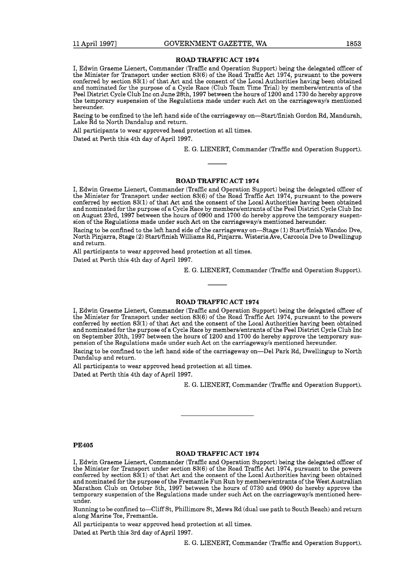#### **ROAD TRAFFIC ACT 1974**

I, Edwin Graeme Lienert, Commander (Traffic and Operation Support) being the delegated officer of the Minister for Transport under section 83(6) of the Road Traffic Act 1974, pursuant to the powers conferred by section 83(1) of that Act and the consent of the Local Authorities having been obtained and nominated for the purpose of a Cycle Race (Club Team Time Trial) by memberslentrants of the Peel District Cycle Club Inc on June 28th, 1997 between the hours of 1200 and 1730 do hereby approve the temporary suspension of the Regulations made under such Act on the carriageway's mentioned hereunder.

Racing to be confined to the left hand side of the carriageway on-Start/finish Gordon Rd, Mandurah, Lake  $\tilde{R}d$  to North Dandalup and return.

All participants to wear approved head protection at all times.

Dated at Perth this 4th day of April 1997.

E. G. LIENERT, Commander (Traffic and Operation Support).

#### **ROAD TRAFFIC ACT 1974**

I, Edwin Graeme Lienert, Commander (Traffic and Operation Support) being the delegated officer of the Minister for Transport under section 83(6) of the Road Traffic Act 1974, pursuant to the powers conferred by section  $83(1)$  of that Act and the consent of the Local Authorities having been obtained and nominated for the purpose of a Cycle Race by memberslentrants of the Peel District Cycle Club Inc on August 23rd, 1997 between the hours of 0900 and 1700 do hereby approve the temporary suspension of the Regulations made under such Act on the carriageway's mentioned hereunder.

Racing to be confined to the left hand side of the carriageway on-Stage (1) Start/finish Wandoo Dve, North Pinjarra, Stage (2) Startlfinish Williams Rd, Pinjarra. Wisteria Ave, Carcoola Dve to Dwellingup and return.

All participants to wear approved head protection at all times. Dated at Perth this 4th day of April 1997.

E. G. LIENERT, Commander (Traffic and Operation Support).

## **ROAD TRAFFIC ACT 1974**

I, Edwin Graeme Lienert, Commander (Traffic and Operation Support) being the delegated officer of the Minister for Transport under section 83(6) of the Road Traffic Act 1974, pursuant to the powers conferred by section 83(1) of that Act and the consent of the Local Authorities having been obtained and nominated for the purpose of a Cycle Race by memberslentrants of the Peel District Cycle Club Inc on September 20th, 1997 between the hours of 1200 and 1700 do hereby approve the temporary suspension of the Regulations made under such Act on the carriagewayls mentioned hereunder.

Racing to be confined to the left hand side of the carriageway on—Del Park Rd, Dwellingup to North Dandalup and return.

All participants to wear approved head protection at all times.

Dated at Perth this 4th day of April 1997.

E. G. LIENERT, Commander (Traffic and Operation Support).

## **PE405**

#### **ROAD TRAFFIC ACT 1974**

I, Edwin Graeme Lienert, Commander (Traffic and Operation Support) being the delegated officer of the Minister for Transport under section 83(6) of the Road Traffic Act 1974, pursuant to the powers conferred by section 83(1) of that Act and the consent of the Local Authorities having been obtained and nominated for the purpose of the Fremantle Fun Run by memberslentrants of the West Australian Marathon Club on October 5th, 1997 between the hours of 0730 and 0900 do hereby approve the temporary suspension of the Regulations made under such Act on the carriageway/s mentioned hereunder.

Running to be confined to-Cliff St, Phillimore St, Mews Rd (dual use path to South Beach) and return along Marine Tce, Fremantle.

All participants to wear approved head protection at all times. Dated at Perth this 3rd day of April 1997.

E. G. LIENERT, Commander (Traffic and Operation Support).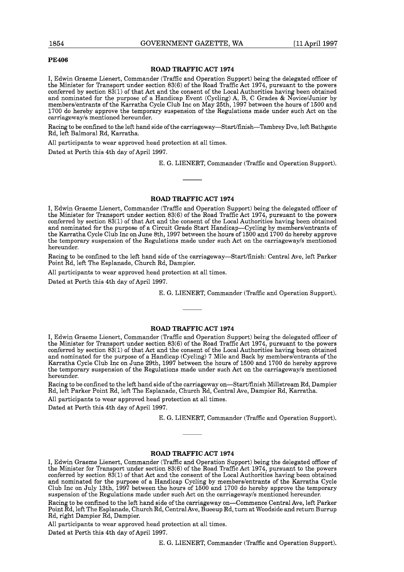#### **PE406**

#### **ROAD TRAFFIC ACT 1974**

I, Edwin Graeme Lienert, Commander (Traffic and Operation Support) being the delegated officer of the Minister for Transport under section 83(6) of the Road Traffic Act 1974, pursuant to the powers conferred by section  $83(1)$  of that Act and the consent of the Local Authorities having been obtained and nominated for the purpose of a Handicap Event (Cycling) A, B, C Grades & Novice/Junior by memberslentrants of the Karratha Cycle Club Inc on May 25th, 1997 between the hours of 1500 and 1700 do hereby approve the temporary suspension of the Regulations made under such Act on the carriagewayls mentioned hereunder.

Racing to be confined to the left hand side of the **carriageway-Startlfinish-Tambrey** Dve, left Bathgate Rd, left Balmoral Rd, Karratha.

All participants to wear approved head protection at all times.

Dated at Perth this 4th day of April 1997.

E. G. LIENERT, Commander (Traffic and Operation Support).

## **ROAD TRAFFIC ACT 1974**

I, Edwin Graeme Lienert, Commander (Traffic and Operation Support) being the delegated officer of the Minister for Transport under section 83(6) of the Road Traffic Act 1974, pursuant to the powers conferred by section 83(1) of that Act and the consent of the Local Authorities having been obtained and nominated for the purpose of a Circuit Grade Start Handicap—Cycling by members/entrants of the Karratha Cycle Club Inc on June 8th, 1997 between the hours of 1500 and 1700 do hereby approve the temporary suspension of the Regulations made under such Act on the carriagewayls mentioned hereunder.

Racing to be confined to the left hand side of the carriageway-Startlfinish: Central Ave, left Parker Point Rd, left The Esplanade, Church Rd, Dampier.

All participants to wear approved head protection at all times.

Dated at Perth this 4th day of April 1997.

E. G. LIENERT, Commander (Traffic and Operation Support).

#### **ROAD TRAFFIC ACT 1974**

I, Edwin Graeme Lienert, Commander (Traffic and Operation Support) being the delegated officer of the Minister for Transport under section 83(6) of the Road Traffic Act 1974, pursuant to the powers conferred by section 83(1) of that Act and the consent of the Local Authorities having been obtained and nominated for the purpose of a Handicap (Cycling) 7 Mile and Back by memberslentrants of the Karratha Cycle Club Inc on June 29th, 1997 between the hours of 1500 and 1700 do hereby approve the temporary suspension of the Regulations made under such Act on the carriagewayls mentioned hereunder.

Racing to be confined to the left hand side of the carriageway on-Start/finish Millstream Rd, Dampier Rd, left Parker Point Rd, left The Esplanade, Church Rd, Central Ave, Dampier Rd, Karratha.

All participants to wear approved head protection at all times.

Dated at Perth this 4th day of April 1997.

E. G. LIENERT, Commander (Traffic and Operation Support).

## **ROAD TRAFFIC ACT 1974**

I, Edwin Graeme Lienert, Commander (Traffic and Operation Support) being the delegated officer of the Minister for Transport under section 83(6) of the Road Traffic Act 1974, pursuant to the powers conferred by section 83(1) of that Act and the consent of the Local Authorities having been obtained and nominated for the purpose of a Handicap Cycling by memberslentrants of the Karratha Cycle Club Inc on July 13th, 1997 between the hours of 1500 and 1700 do hereby approve the temporary suspension of the Regulations made under such Act on the carriagewayls mentioned hereunder.

Racing to be confined to the left hand side of the carriageway on-Commence Central Ave, left Parker Point Rd, left The Esplanade, Church Rd, Central Ave, Bueeup Rd, turn at Woodside and return Burrup Rd, right Dampier Rd, Dampier.

All participants to wear approved head protection at all times. Dated at Perth this 4th day of April 1997.

E. G. LIENERT, Commander (Traffic and Operation Support).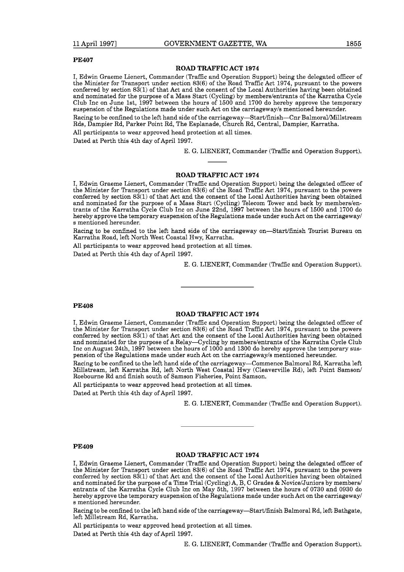#### **PE407**

#### **ROAD TRAFFIC ACT 1974**

I, Edwin Graeme Lienert, Commander (Traffic and Operation Support) being the delegated officer of the Minister for Transport under section 83(6) of the Road Traffic Act 1974, pursuant to the powers conferred by section  $83(1)$  of that Act and the consent of the Local Authorities having been obtained and nominated for the purpose of a Mass Start (Cycling) by members/entrants of the Karratha Cycle Club Inc on June lst, 1997 between the hours of 1500 and 1700 do hereby approve the temporary suspension of the Regulations made under such Act on the carriagewayls mentioned hereunder. Racing to be confined to the left hand side of the carriageway-Start/finish-Cnr Balmoral/Millstream Rds, Dampier Rd, Parker Point Rd, The Esplanade, Church Rd, Central, Dampier, Karratha. All participants to wear approved head protection at all times.

Dated at Perth this 4th day of April 1997.

E. G. LIENERT, Commander (Traffic and Operation Support).

#### **ROAD TRAFFIC ACT 1974**

I, Edwin Graeme Lienert, Commander (Traffic and Operation Support) being the delegated officer of the Minister for Transport under section 83(6) of the Road Traffic Act 1974, pursuant to the powers conferred by section  $83(1)$  of that Act and the consent of the Local Authorities having been obtained and nominated for the purpose of a Mass Start (Cycling) Telecom Tower and back by members/entrants of the Karratha Cycle Club Inc on June 22nd, 1997 between the hours of 1500 and 1700 do hereby approve the temporary suspension of the Regulations made under such Act on the carriagewayl s mentioned hereunder.

Racing to be confined to the left hand side of the carriageway on—Start/finish Tourist Bureau on Karratha Road, left North West Coastal Hwy, Karratha.

All participants to wear approved head protection at all times.

Dated at Perth this 4th day of April 1997.

E. G. LIENERT, Commander (Traffic and Operation Support).

#### **PE408**

#### **ROAD TRAFFIC ACT 1974**

I, Edwin Graeme Lienert, Commander (Traffic and Operation Support) being the delegated officer of the Minister for Transport under section 83(6) of the Road Traffic Act 1974, pursuant to the powers conferred by section 83(1) of that Act and the consent of the Local Authorities having been obtained and nominated for the purpose of a Relay-Cycling by members/entrants of the Karratha Cycle Club Inc on August 24th, 1997 between the hours of 1000 and 1300 do hereby approve the temporary suspension of the Regulations made under such Act on the carriagewayls mentioned hereunder.

Racing to be confined to the left hand side of the carriageway-Commence Balmoral Rd, Karratha left Millstream, left Karratha Rd, left North West Coastal Hwy (Cleaverville Rd), left Point Samson/ Roebourne Rd and finish south of Samson Fisheries, Point Samson.

All participants to wear approved head protection at all times.

Dated at Perth this 4th day of April 1997.

E. G. LIENERT, Commander (Traffic and Operation Support).

#### **PE409**

#### **ROAD TRAFFIC ACT 1974**

I, Edwin Graeme Lienert, Commander (Traffic and Operation Support) being the delegated officer of the Minister for Transport under section 83(6) of the Road Traffic Act 1974, pursuant to the powers conferred by section 83(1) of that Act and the consent of the Local Authorities having been obtained and nominated for the purpose of a Time Trial (Cycling) A, B, C Grades & Novice/Juniors by members/ entrants of the Karratha Cycle Club Inc on May 5th, 1997 between the hours of 0730 and 0930 do hereby approve the temporary suspension of the Regulations made under such Act on the carriageway/ s mentioned hereunder.

Racing to be confined to the left hand side of the carriageway—Start/finish Balmoral Rd, left Bathgate, left Millstream Rd, Karratha.

All participants to wear approved head protection at all times.

Dated at Perth this 4th day of April 1997.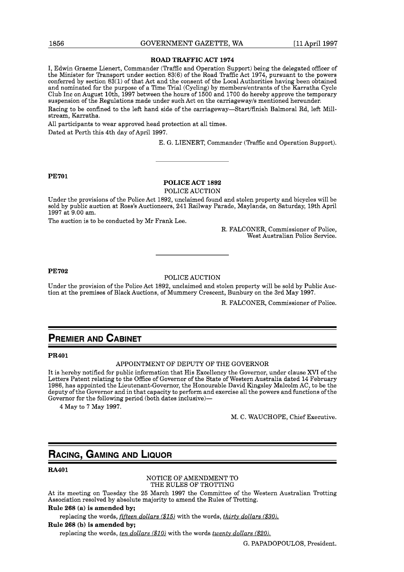#### **ROAD TRAFFIC ACT 1974**

I, Edwin Graeme Lienert, Commander (Traffic and Operation Support) being the delegated officer of the Minister for Transport under section 83(6) of the Road Traffic Act 1974, pursuant to the powers conferred by section 83(1) of that Act and the consent of the Local Authorities having been obtained and nominated for the purpose of a Time Trial (Cycling) by memberslentrants of the Karratha Cycle Club Inc on August loth, 1997 between the hours of 1500 and 1700 do hereby approve the temporary suspension of the Regulations made under such Act on the carriagewayls mentioned hereunder.

Racing to be confined to the left hand side of the carriageway—Start/finish Balmoral Rd, left Millstream, Karratha.

All participants to wear approved head protection at all times. Dated at Perth this 4th day of April 1997.

E. G. LIENERT, Commander (Traffic and Operation Support).

**PE701** 

## **POLICE ACT 1892**

POLICE AUCTION

Under the provisions of the Police Act 1892, unclaimed found and stolen property and bicycles will be sold by public auction at Ross's Auctioneers, 241 Railway Parade, Maylands, on Saturday, 19th April 1997 at 9.00 am.

The auction is to be conducted by Mr Frank Lee.

R. FALCONER, Commissioner of Police, West Australian Police Service.

## **PE702**

#### POLICE AUCTION

Under the provision of the Police Act 1892, unclaimed and stolen property will be sold by Public Auction at the premises of Black Auctions, of Mummery Crescent, Bunbury on the 3rd May 1997.

R. FALCONER, Commissioner of Police.

## **PREMIER AND CABINET**

**PR401** 

#### APPOINTMENT OF DEPUTY OF THE GOVERNOR

It is hereby notified for public information that His Excellency the Governor, under clause XVI of the Letters Patent relating to the Office of Governor of the State of Western Australia dated 14 February 1986, has appointed the Lieutenant-Governor, the Honourable David Kingsley Malcolm AC, to be the deputy of the Governor and in that capacity to perform and exercise all the powers and functions of the Governor for the following period (both dates inclusive)-

4 May to 7 May 1997.

M. C. WAUCHOPE, Chief Executive.

## RACING, GAMING AND LIQUOR

**RA4O 1** 

NOTICE OF AMENDMENT TO THE RULES OF TROTTING

At its meeting on Tuesday the 25 March 1997 the Committee of the Western Australian Trotting Association resolved by absolute majority to amend the Rules of Trotting.

## **Rule 268 (a) is amended by;**

replacing the words, *fifteen dollars* (\$15) with the words, *thirty dollars* (\$30).

**Rule 268 (b) is amended by;** 

replacing the words, *ten dollars (\$10)* with the words *twentv dollars (\$20).*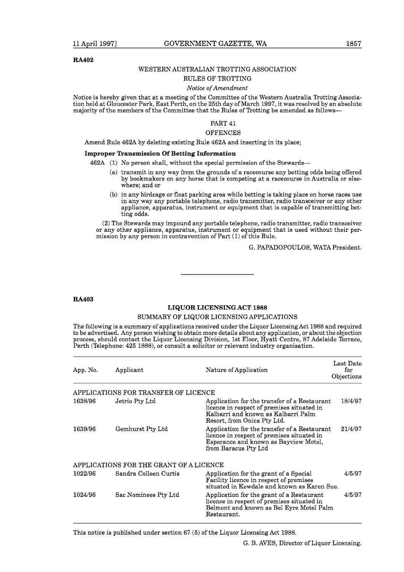#### **RA402**

## WESTERN AUSTRALIAN TROTTING ASSOCIATION

## RULES OF TROTTING

## *Notice of Amendment*

Notice is hereby given that at a meeting of the Committee of the Western Australia Trotting Association held at Gloucester Park, East Perth, on the 25th day of March 1997, it was resolved by an absolute majority of the members of the Committee that the Rules of Trotting be amended as follows-

## PART 41

## **OFFENCES**

Amend Rule 462A by deleting existing Rule 462A and inserting in its place;

#### **Improper Transmission Of Betting Information**

462A (1) No person shall, without the special permission of the Stewards-

- (a) transmit in any way from the grounds of a racecourse any betting odds being offered by bookmakers on any horse that is competing at a racecourse in Australia or elsewhere; and or
- (b) in any birdcage or float parking area while betting is taking place on horse races use in any way any portable telephone, radio transmitter, radio transceiver or any other appliance, apparatus, instrument or equipment that is capable of transmitting betting odds.

(2) The Stewards may impound any portable telephone, radio transmitter, radio transceiver or any other appliance, apparatus, instrument or equipment that is used without their permission by any person in contravention of Part (1) of this Rule.

G. PAPADOPOULOS, WATA President.

#### **RA403**

## **LIQUOR LICENSING ACT 1988**

## SUMMARY OF LIQUOR LICENSING APPLICATIONS

The following is a summary of applications received under the Liquor Licensing Act 1988 and required to be advertised. Any person wishing to obtain more details about any application, or about the objection process, should contact the Liquor Licensing Division, 1st Floor, Hyatt Centre, 87 Adelaide Terrace, Perth (Telephone: 425 1888), or consult a solicitor or relevant industry organisation.

| App. No. | Applicant                               | Nature of Application                                                                                                                                            | Last Date<br>for<br>Objections |
|----------|-----------------------------------------|------------------------------------------------------------------------------------------------------------------------------------------------------------------|--------------------------------|
|          | APPLICATIONS FOR TRANSFER OF LICENCE    |                                                                                                                                                                  |                                |
| 1638/96  | Jetrio Pty Ltd                          | Application for the transfer of a Restaurant<br>licence in respect of premises situated in<br>Kalbarri and known as Kalbarri Palm<br>Resort, from Onica Pty Ltd. | 18/4/97                        |
| 1639/96  | Gemhurst Pty Ltd                        | Application for the transfer of a Restaurant<br>licence in respect of premises situated in<br>Esperance and known as Bayview Motel,<br>from Baracus Pty Ltd      | 21/4/97                        |
|          | APPLICATIONS FOR THE GRANT OF A LICENCE |                                                                                                                                                                  |                                |
| 1022/96  | Sandra Colleen Curtis                   | Application for the grant of a Special<br>Facility licence in respect of premises<br>situated in Kewdale and known as Karen Sue.                                 | 4/5/97                         |
| 1024/96  | Sac Nominees Pty Ltd                    | Application for the grant of a Restaurant<br>licence in respect of premises situated in<br>Belmont and known as Bel Eyre Motel Palm<br>Restaurant.               | 4/5/97                         |

This notice is published under section 67 (5) of the Liquor Licensing Act 1988.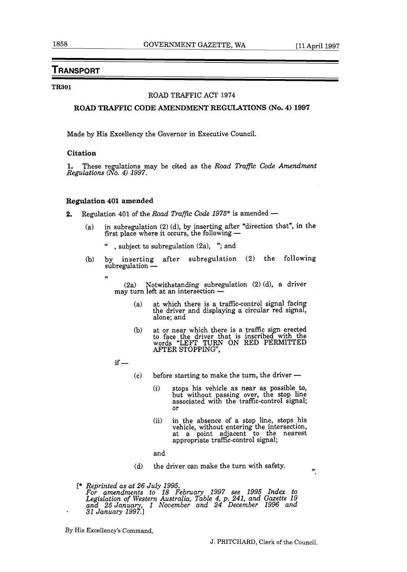# Transport

## **TR301**

## ROAD TRAFFIC ACT **1974**

**ROAD TRAFFIC CODE AMENDMENT REGULATIONS (No. 4) 1997** 

Made by His Excellency the Governor in Executive Council.

## **Citation**

1. These regulations may be cited as the *Road Traffic Code Amendment Regulations 8 0. 4) 1997.* 

## **Regulation 401 amended**

- **2.** Regulation **401** of the *Road Traffic Code 1975"* is amended
	- (a) in subregulation  $(2)$  (d), by inserting after "direction that", in the in subregulation (2) (d), by inserting after "d<br>first place where it occurs, the following —
		- " , subject to subregulation (2a), "; and
	- (b) by inserting after subregulation (2) the following subregulation -
		- **L<**

(2a) Notwithstanding subregulation (2) (d), a driver  $(2a)$  Notwithstanding subregula<br>may turn left at an intersection —

- at which there is a traffic-control signal facin  $(a)$ the driver and displaying a circular red signal, alone; and
- $(b)$ at or near which there is a traffic sign erected **to** face the driver that is inscribed-with the words "LEFT TURN ON RED PERMITTED AFTER STOPPING",

 $if -$ 

- before starting to make the turn, the driver  $\left( \mathbf{c}\right)$ 
	- (i) stops his vehicle as near as possible **.to,**  but without passing over, the stop line associated with the traffic-control signal; or
	- (ii) in the absence of a stop line, stops his vehicle, without entering the intersection, at a point adjacent to the nearest appropriate traffic-control signal;
	- and
- $(d)$ the driver can make the turn with safety.

 $\ddot{\mathbf{r}}$ 

**C\*** *Reprinted as at 26 July 1995. For amendments to 18 February 1997 see 1995 Index to Legislation of Western Australia, Table 4, p. 241, and Gazette 19*  and 25 January, 1 November and 24 December 1996 and *31 January 1997* 

By His Excellency's Command,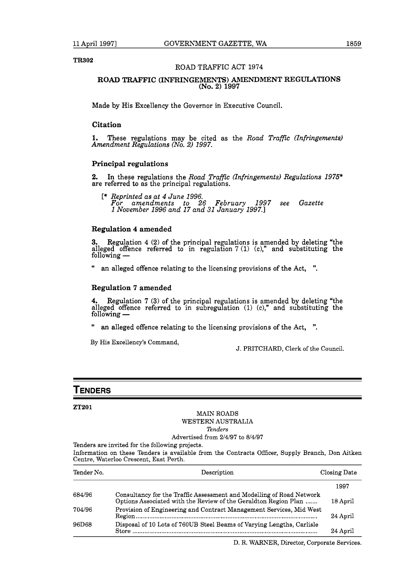**TR302** 

## ROAD TRAFFIC ACT 1974

## **ROAD TRAFFIC (INFRINGEMENTS) AMENDMENT REGULATIONS (No. 2) 1997**

Made by His Excellency the Governor in Executive Council.

## **Citation**

**1.** These regulations may be cited as the *Road Traffic (Infringements) Amendment Regulations (No.* 2) *1997.* 

## **Principal regulations**

**2.** In these regulations the *Road Traffic (Infringements) Regulations 1975"*  are referred to as the principal regulations.

[\* *Reprinted as at 4 June 1996. For amendments to 26 February 1997 see Gazette 1 November 1996 and 17 and 31 January 1997.1* 

## **Regulation 4 amended**

**3.** Regulation 4 (2) of the principal regulations is amended by deleting "the alleged offence referred to in regulation  $7(1)$  (c)," and substituting the following —

an alleged offence relating to the licensing provisions of the Act, ".

## **Regulation 7 amended**

**4.** Regulation 7 (3) of the principal regulations is amended by deleting "the alleged offence referred to in subregulation (1) (c)," and substituting the following —  $\mathop{\text{Mat}}$ 

" an alleged offence relating to the licensing provisions of the Act, ".

By His Excellency's Command,

J. PRITCHARD, Clerk of the Council.

## Tenders

## **ZT201**

## MAIN ROADS WESTERN AUSTRALIA *Tenders*

## Advertised from 2/4/97 to 8/4/97

Tenders are invited for the following projects.

Information on these Tenders is available from the Contracts Officer, Supply Branch, Don Aitken Centre, Waterloo Crescent, East Perth.

| Tender No. | Description                                                                                                                             | Closing Date |
|------------|-----------------------------------------------------------------------------------------------------------------------------------------|--------------|
|            |                                                                                                                                         | 1997         |
| 684/96     | Consultancy for the Traffic Assessment and Modelling of Road Network<br>Options Associated with the Review of the Geraldton Region Plan | 18 April     |
| 704/96     | Provision of Engineering and Contract Management Services, Mid West                                                                     | 24 April     |
| 96D68      | Disposal of 10 Lots of 760UB Steel Beams of Varying Lengths, Carlisle                                                                   | 24 April     |
|            |                                                                                                                                         |              |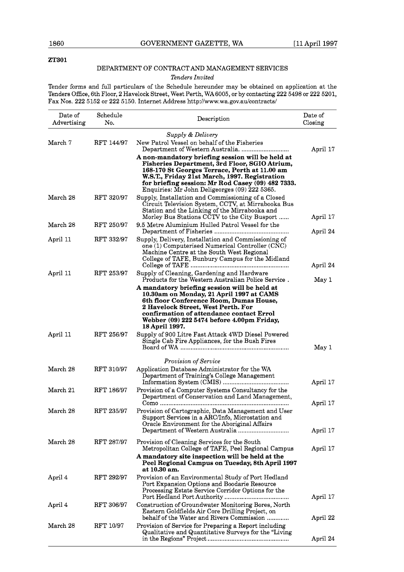## **ZT301**

## DEPARTMENT OF CONTRACT AND MANAGEMENT SERVICES

## *Tenders Invited*

Tender forms and full particulars of the Schedule hereunder may be obtained on application at the Tenders Office, 6th Floor, 2 Havelock Street, West Perth, WA6005, or by contacting 222 5498 or 222 5201, Fax Nos. 222 5152 or 222 5150. Internet Address http://www.wa.gov.au/contracts/

| Date of<br>Advertising | Schedule<br>No. | Description                                                                                                                                                                                                                                                                                               | Date of<br>Closing |
|------------------------|-----------------|-----------------------------------------------------------------------------------------------------------------------------------------------------------------------------------------------------------------------------------------------------------------------------------------------------------|--------------------|
| March 7                | RFT 144/97      | Supply & Delivery<br>New Patrol Vessel on behalf of the Fisheries                                                                                                                                                                                                                                         | April 17           |
|                        |                 | A non-mandatory briefing session will be held at<br>Fisheries Department, 3rd Floor, SGIO Atrium,<br>168-170 St Georges Terrace, Perth at 11.00 am<br>W.S.T., Friday 21st March, 1997. Registration<br>for briefing session: Mr Rod Casey (09) 482 7333.<br>Enquiries: Mr John Deligeorges (09) 222 5365. |                    |
| March 28               | RFT 320/97      | Supply, Installation and Commissioning of a Closed<br>Circuit Television System, CCTV, at Mirrabooka Bus<br>Station and the Linking of the Mirrabooka and<br>Morley Bus Stations CCTV to the City Busport                                                                                                 | April 17           |
| March 28               | RFT 250/97      | 9.5 Metre Aluminium Hulled Patrol Vessel for the                                                                                                                                                                                                                                                          | April 24           |
| April 11               | RFT 332/97      | Supply, Delivery, Installation and Commissioning of<br>one (1) Computerised Numerical Controller (CNC)<br>Machine Centre at the South West Regional<br>College of TAFE, Bunbury Campus for the Midland                                                                                                    |                    |
|                        |                 |                                                                                                                                                                                                                                                                                                           | April 24           |
| April 11               | RFT 253/97      | Supply of Cleaning, Gardening and Hardware<br>Products for the Western Australian Police Service.                                                                                                                                                                                                         | May 1              |
|                        |                 | A mandatory briefing session will be held at<br>10.30am on Monday, 21 April 1997 at CAMS<br>6th floor Conference Room, Dumas House,<br>2 Havelock Street, West Perth. For<br>confirmation of attendance contact Errol<br>Webber (09) 222 5474 before 4.00pm Friday,<br>18 April 1997.                     |                    |
| April 11               | RFT 256/97      | Supply of 900 Litre Fast Attack 4WD Diesel Powered<br>Single Cab Fire Appliances, for the Bush Fires                                                                                                                                                                                                      | May 1              |
|                        |                 | Provision of Service                                                                                                                                                                                                                                                                                      |                    |
| March 28               | RFT 310/97      | Application Database Administrator for the WA<br>Department of Training's College Management                                                                                                                                                                                                              | April 17           |
| March 21               | RFT 186/97      | Provision of a Computer Systems Consultancy for the<br>Department of Conservation and Land Management,                                                                                                                                                                                                    | April 17           |
| March 28               | RFT 235/97      | Provision of Cartographic, Data Management and User<br>Support Services in a ARC/Info, Microstation and<br>Oracle Environment for the Aboriginal Affairs                                                                                                                                                  | April 17           |
| March 28               | RFT 287/97      | Provision of Cleaning Services for the South<br>Metropolitan College of TAFE, Peel Regional Campus                                                                                                                                                                                                        | April 17           |
|                        |                 | A mandatory site inspection will be held at the<br>Peel Regional Campus on Tuesday, 8th April 1997<br>at 10.30 am.                                                                                                                                                                                        |                    |
| April 4                | RFT 292/97      | Provision of an Environmental Study of Port Hedland<br>Port Expansion Options and Boodarie Resource<br>Processing Estate Service Corridor Options for the                                                                                                                                                 | April 17           |
| April 4                | RFT 306/97      | Construction of Groundwater Monitoring Bores, North<br>Eastern Goldfields Air Core Drilling Project, on<br>behalf of the Water and Rivers Commission                                                                                                                                                      | April 22           |
| March 28               | RFT 10/97       | Provision of Service for Preparing a Report including<br>Qualitative and Quantitative Surveys for the "Living"                                                                                                                                                                                            | April 24           |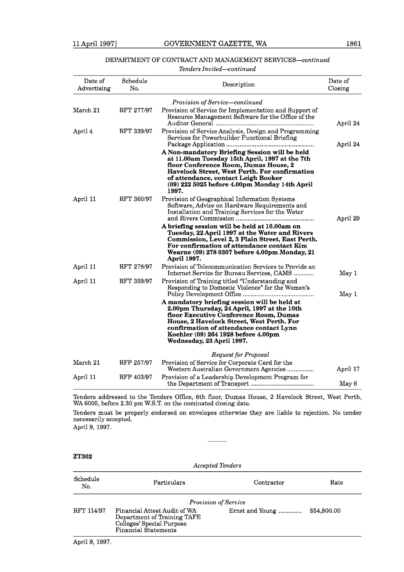## DEPARTMENT OF CONTRACT AND MANAGEMENT *SERVICES-ontinued*

## *Tenders Invited-ontinued*

| Date of<br>Advertising | Schedule<br>No. | Description                                                                                                                                                                                                                                                                                         | Date of<br>Closing |
|------------------------|-----------------|-----------------------------------------------------------------------------------------------------------------------------------------------------------------------------------------------------------------------------------------------------------------------------------------------------|--------------------|
|                        |                 | Provision of Service-continued                                                                                                                                                                                                                                                                      |                    |
| March 21               | RFT 277/97      | Provision of Service for Implementation and Support of<br>Resource Management Software for the Office of the                                                                                                                                                                                        | April 24           |
| April 4                | RFT 339/97      | Provision of Service Analysis, Design and Programming<br>Services for Powerbuilder Functional Briefing                                                                                                                                                                                              | April 24           |
|                        |                 | A Non-mandatory Briefing Session will be held<br>at 11.00am Tuesday 15th April, 1997 at the 7th<br>floor Conference Room, Dumas House, 2<br><b>Havelock Street, West Perth. For confirmation</b><br>of attendance, contact Leigh Booker<br>$(09)$ 222 5025 before 4.00pm Monday 14th April<br>1997. |                    |
| April 11               | RFT 360/97      | Provision of Geographical Information Systems<br>Software, Advice on Hardware Requirements and<br>Installation and Training Services for the Water                                                                                                                                                  | April 29           |
|                        |                 | A briefing session will be held at 10.00am on<br>Tuesday, 22 April 1997 at the Water and Rivers<br>Commission, Level 2, 3 Plain Street, East Perth.<br>For confirmation of attendance contact Kim<br>Wearne (09) 278 0307 before 4.00pm Monday, 21<br>April 1997.                                   |                    |
| April 11               | RFT 278/97      | Provision of Telecommunication Services to Provide an<br>Internet Service for Bureau Services, CAMS                                                                                                                                                                                                 | May 1              |
| April 11               | RFT 359/97      | Provision of Training titled "Understanding and<br>Responding to Domestic Violence" for the Women's                                                                                                                                                                                                 | May 1              |
|                        |                 | A mandatory briefing session will be held at<br>2.00pm Thursday, 24 April, 1997 at the 10th<br>floor Executive Conference Room, Dumas<br>House, 2 Havelock Street, West Perth. For<br>confirmation of attendance contact Lynn<br>Koehler (09) 264 1928 before 4.00pm<br>Wednesday, 23 April 1997.   |                    |
|                        |                 | Request for Proposal                                                                                                                                                                                                                                                                                |                    |
| March 21               | RFP 257/97      | Provision of Service for Corporate Card for the<br>Western Australian Government Agencies                                                                                                                                                                                                           | April 17           |
| April 11               | RFP 403/97      | Provision of a Leadership Development Program for                                                                                                                                                                                                                                                   | May 6              |

Tenders addressed to the Tenders Office, 6th floor, Dumas House, 2 Havelock Street, West Perth, WA 6005, before 2.30 pm W.S.T. on the nominated closing date.

Tenders must be properly endorsed on envelopes otherwise they are liable to rejection. No tender necessarily accepted.

April 9, 1997.

## ZT302

*Accepted Tenders* 

| Schedule<br>No. | Particulars                                                                                                      | Contractor      | Rate        |
|-----------------|------------------------------------------------------------------------------------------------------------------|-----------------|-------------|
|                 | <b>Provision of Service</b>                                                                                      |                 |             |
| RFT 114/97      | Financial Attest Audit of WA<br>Department of Training TAFE<br>Colleges' Special Purpose<br>Financial Statements | Ernst and Young | \$54,800,00 |

April 9, 1997.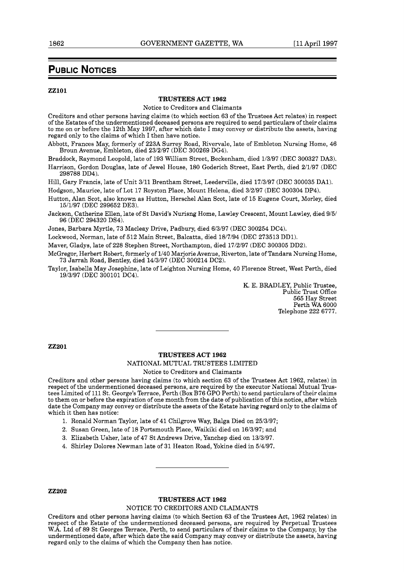## **PUBLIC NOTICES**

#### **ZZlOl**

#### **TRUSTEES ACT 1962**

Notice to Creditors and Claimants

Creditors and other persons having claims (to which section 63 of the Trustees Act relates) in respect of the Estates of the undermentioned deceased persons are required to send particulars of their claims to me on or before the 12th May 1997, after which date I may convey or distribute the assets, having regard only to the claims of which I then have notice.

Abbott, Frances May, formerly of 223A Surrey Road, Rivervale, late of Embleton Nursing Home, 46 Broun Avenue, Embleton, died 23/2/97 (DEC 300269 DG4).

Braddock, Raymond Leopold, late of 193 William Street, Beckenham, died 1/3/97 (DEC 300327 DA3).

Harrison, Gordon Douglas, late of Jewel House, 180 Goderich Street, East Perth, died 2/1/97 (DEC 298788 DD4).

Hill, Gary Francis, late of Unit 3/11 Brentham Street, Leederville, died 17/3/97 (DEC 300035 DA1).

Hodgson, Maurice, late of Lot 17 Royston Place, Mount Helena, died 3/2/97 (DEC 300304 DP4).

Hutton, Alan Scot, also known as Hutton, Herschel Alan Scot, late of 15 Eugene Court, Morley, died 15/1/97 (DEC 299652 DE3).

Jackson, Catherine Ellen, late of St David's Nurisng Home, Lawley Crescent, Mount Lawley, died 9/51 96 (DEC 294320 DS4).

Jones, Barbara Myrtle, 73 Macleay Drive, Padbury, died 6/3/97 (DEC 300254 DC4).

Lockwood, Norman, late of 512 Main Street, Balcatta, died 18/7/94 (DEC 273513 DD1).

Maver, Gladys, late of 228 Stephen Street, Northampton, died 17/2/97 (DEC 300305 DD2).

McGregor, Herbert Robert, formerly of 1/40 Marjorie Avenue, Riverton, late of Tandara Nursing Home, 73 Jarrah Road, Bentley, died 14/3/97 (DEC 300214 DC2).

Taylor, Isabella May Josephine, late of Leighton Nursing Home, 40 Florence Street, West Perth, died 19/3/97 (DEC 300101 DC4).

> K. E. BRADLEY, Public Trustee, Public Trust Office 565 Hay Street Perth WA 6000 Telephone 222 6777.

ZZ201

## **TRUSTEES ACT 1962**

## NATIONAL MUTUAL TRUSTEES LIMITED

Notice to Creditors and Claimants

Creditors and other persons having claims (to which section 63 of the Trustees Act 1962, relates) in respect of the undermentioned deceased persons, are required by the executor National Mutual Trustees Limited of 111 St. George's Terrace, Perth (Box B76 GPO Perth) to send particulars of their claims to them on or before the expiration of one month from the date of publication of this notice, after which date the Company may convey or distribute the assets of the Estate having regard only to the claims of which it then has notice:

- 1. Ronald Norman Taylor, late of 41 Chilgrove Way, Balga Died on 25/3/97;
- 2. Susan Green, late of 18 Portsmouth Place, Waikiki died on 16/3/97; and
- 3. Elizabeth Usher, late of 47 St Andrews Drive, Yanchep died on 13/3/97.
- 4. Shirley Dolores Newman late of 31 Heaton Road, Yokine died in 5/4/97.

**22202** 

#### **TRUSTEES ACT 1962**

#### NOTICE TO CREDITORS AND CLAIMANTS

Creditors and other persons having claims (to which Section 63 of the Trustees Act, 1962 relates) in respect of the Estate of the undermentioned deceased persons, are required by Perpetual Trustees W.A. Ltd of 89 St Georges Terrace, Perth, to send particulars of their claims to the Company, by the undermentioned date, after which date the said Company may convey or distribute the assets, having regard only to the claims of which the Company then has notice.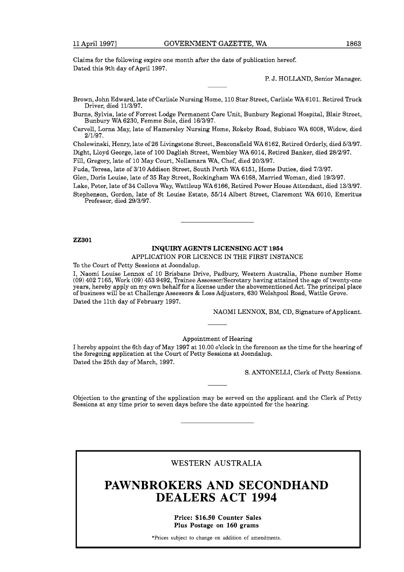Claims for the following expire one month after the date of publication hereof. Dated this 9th day of April 1997.

P. J. HOLLAND, Senior Manager.

Brown, John Edward, late of Carlisle Nursing Home, 110 Star Street, Carlisle WA 6101. Retired Truck Driver, died 11/3/97.

Burns, Sylvia, late of Forrest Lodge Permanent Care Unit, Bunbury Regional Hospital, Blair Street, Bunbury WA 6230, Femme Sole, died 16/3/97.

Carvell, Lorna May, late of Hamersley Nursing Home, Rokeby Road, Subiaco WA 6008, Widow, died 2/1/97.

Cholewinski, Henry, late of 26 Livingstone Street, Beaconsfield WA 6162, Retired Orderly, died 5/3/97. Dight, Lloyd George, late of 100 Daglish Street, Wembley WA 6014, Retired Banker, died 28/2/97.

Fill, Gregory, late of 10 May Court, Nollamara WA, Chef, died 20/3/97.

Fuda, Teresa, late of 3/10 Addison Street, South Perth WA 6151, Home Duties, died 7/3/97.

Glen, Doris Louise, late of 35 Ray Street, Rockingham WA 6168, Married Woman, died 19/3/97.

Lake, Peter, late of 34 Collova Way, Wattleup WA 6166, Retired Power House Attendant, died 13/3/97.

Stephenson, Gordon, late of St Louise Estate, 55/14 Albert Street, Claremont WA 6010, Emeritus Professor, died 29/3/97.

**22301** 

## **INQUIRY AGENTS LICENSING ACT 1954**

APPLICATION FOR LICENCE IN THE FIRST INSTANCE

To the Court of Petty Sessions at Joondalup.

I, Naomi Louise Lennox of 10 Brisbane Drive, Padbury, Western Australia, Phone number Home (09) 402 7165, Work (09) 453 9492, Trainee Assessor/Secretary having attained the age of twenty-one years, hereby apply on my own behalf for a license under the abovementioned Act. The principal place of business will be at Challenge Assessors & Loss Adjusters, 630 Welshpool Road, Wattle Grove. Dated the 11th day of February 1997.

NAOMI LENNOX, BM, CD, Signature of Applicant.

#### Appointment of Hearing

I hereby appoint the 6th day of May 1997 at 10.00 o'clock in the forenoon as the time for the hearing of the foregoing application at the Court of Petty Sessions at Joondalup. Dated the 25th day of March, 1997.

S. ANTONELLI, Clerk of Petty Sessions.

Objection to the granting of the application may be served on the applicant and the Clerk of Petty Sessions at any time prior to seven days before the date appointed for the hearing.

WESTERN AUSTRALIA

# **PAWNBROKERS AND SECONDHAND DEALERS ACT 1994**

**Price: \$16.50 Counter Sales Plus Postage on 160 grams** 

\*Prices subject to change on addition of amendments.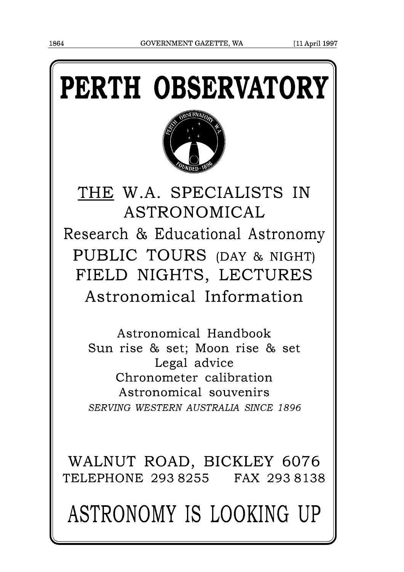# PERTH OBSERVATORY



THE W.A. SPECIALISTS IN ASTRONOMICAL Research & Educational Astronomy PUBLIC TOURS (DAY & NIGHT) FIELD NIGHTS, LECTURES Astronomical Information

Astronomical Handbook Sun rise & set; Moon rise & set Legal advice Chronometer calibration Astronomical souvenirs *SERVING WESTERN AUSTRALIA SINCE 1 896* 

WALNUT ROAD, BICKLEY 6076 TELEPHONE 293 8255 FAX 293 8138

ASTRONOMY IS LOOKING UP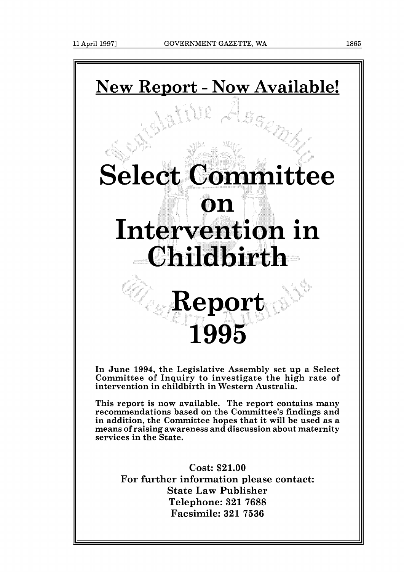